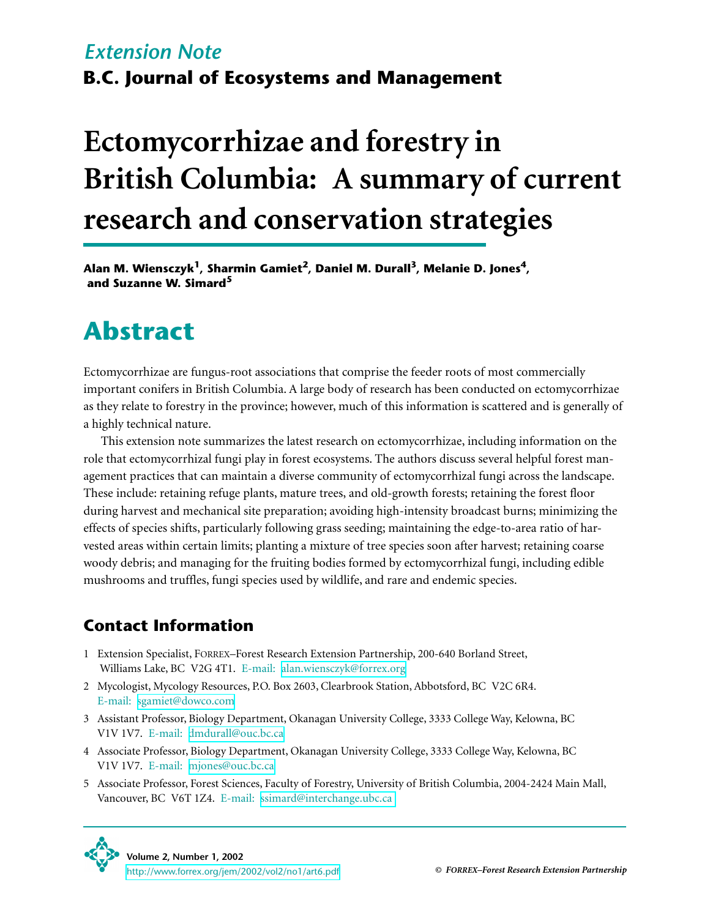# **B.C. Journal of Ecosystems and Management** *Extension Note*

# **Ectomycorrhizae and forestry in British Columbia: A summary of current research and conservation strategies**

Alan M. Wiensczyk<sup>1</sup>, Sharmin Gamiet<sup>2</sup>, Daniel M. Durall<sup>3</sup>, Melanie D. Jones<sup>4</sup>,  **and Suzanne W. Simard<sup>5</sup>**

# **Abstract**

Ectomycorrhizae are fungus-root associations that comprise the feeder roots of most commercially important conifers in British Columbia. A large body of research has been conducted on ectomycorrhizae as they relate to forestry in the province; however, much of this information is scattered and is generally of a highly technical nature.

This extension note summarizes the latest research on ectomycorrhizae, including information on the role that ectomycorrhizal fungi play in forest ecosystems. The authors discuss several helpful forest management practices that can maintain a diverse community of ectomycorrhizal fungi across the landscape. These include: retaining refuge plants, mature trees, and old-growth forests; retaining the forest floor during harvest and mechanical site preparation; avoiding high-intensity broadcast burns; minimizing the effects of species shifts, particularly following grass seeding; maintaining the edge-to-area ratio of harvested areas within certain limits; planting a mixture of tree species soon after harvest; retaining coarse woody debris; and managing for the fruiting bodies formed by ectomycorrhizal fungi, including edible mushrooms and truffles, fungi species used by wildlife, and rare and endemic species.

## **Contact Information**

- 1 Extension Specialist, FORREX–Forest Research Extension Partnership, 200-640 Borland Street, Williams Lake, BC V2G 4T1. E-mail: [alan.wiensczyk@forrex.org](mailto:alan.wiensczyk@forrex.org)
- 2 Mycologist, Mycology Resources, P.O. Box 2603, Clearbrook Station, Abbotsford, BC V2C 6R4. E-mail: [sgamiet@dowco.com](mailto:sgamiet@dowco.com)
- 3 Assistant Professor, Biology Department, Okanagan University College, 3333 College Way, Kelowna, BC V1V 1V7. E-mail: [dmdurall@ouc.bc.ca](mailto:dmdurall@ouc.bc.ca)
- 4 Associate Professor, Biology Department, Okanagan University College, 3333 College Way, Kelowna, BC V1V 1V7. E-mail: [mjones@ouc.bc.ca](mailto:mjones@ouc.bc.ca)
- 5 Associate Professor, Forest Sciences, Faculty of Forestry, University of British Columbia, 2004-2424 Main Mall, Vancouver, BC V6T 1Z4. E-mail: [ssimard@interchange.ubc.ca](mailto:ssimard@interchange.ubc.ca)

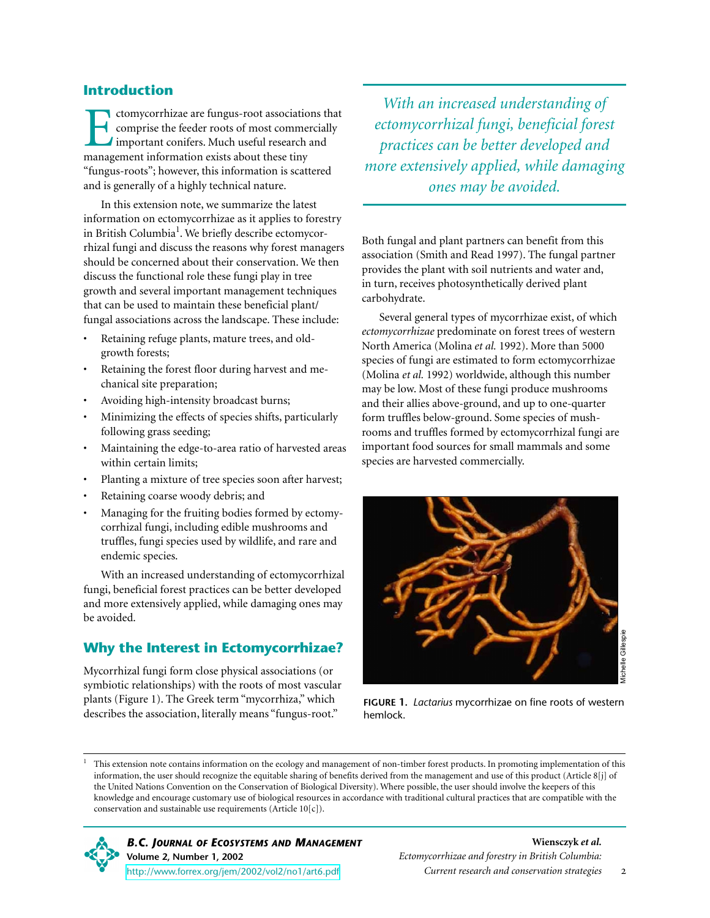#### **Introduction**

Ectomycorrhizae are fungus-root associations that comprise the feeder roots of most commercially important conifers. Much useful research and management information exists about these tiny "fungus-roots"; however, this information is scattered and is generally of a highly technical nature.

In this extension note, we summarize the latest information on ectomycorrhizae as it applies to forestry in British Columbia<sup>1</sup>. We briefly describe ectomycorrhizal fungi and discuss the reasons why forest managers should be concerned about their conservation. We then discuss the functional role these fungi play in tree growth and several important management techniques that can be used to maintain these beneficial plant/ fungal associations across the landscape. These include:

- Retaining refuge plants, mature trees, and oldgrowth forests;
- Retaining the forest floor during harvest and mechanical site preparation;
- Avoiding high-intensity broadcast burns;
- Minimizing the effects of species shifts, particularly following grass seeding;
- Maintaining the edge-to-area ratio of harvested areas within certain limits;
- Planting a mixture of tree species soon after harvest;
- Retaining coarse woody debris; and
- Managing for the fruiting bodies formed by ectomycorrhizal fungi, including edible mushrooms and truffles, fungi species used by wildlife, and rare and endemic species.

With an increased understanding of ectomycorrhizal fungi, beneficial forest practices can be better developed and more extensively applied, while damaging ones may be avoided.

#### **Why the Interest in Ectomycorrhizae?**

Mycorrhizal fungi form close physical associations (or symbiotic relationships) with the roots of most vascular plants (Figure 1). The Greek term "mycorrhiza," which describes the association, literally means "fungus-root."

*With an increased understanding of ectomycorrhizal fungi, beneficial forest practices can be better developed and more extensively applied, while damaging ones may be avoided.*

Both fungal and plant partners can benefit from this association (Smith and Read 1997). The fungal partner provides the plant with soil nutrients and water and, in turn, receives photosynthetically derived plant carbohydrate.

Several general types of mycorrhizae exist, of which *ectomycorrhizae* predominate on forest trees of western North America (Molina *et al.* 1992). More than 5000 species of fungi are estimated to form ectomycorrhizae (Molina *et al.* 1992) worldwide, although this number may be low. Most of these fungi produce mushrooms and their allies above-ground, and up to one-quarter form truffles below-ground. Some species of mushrooms and truffles formed by ectomycorrhizal fungi are important food sources for small mammals and some species are harvested commercially.



**FIGURE 1.** *Lactarius* mycorrhizae on fine roots of western hemlock.

<sup>1</sup> This extension note contains information on the ecology and management of non-timber forest products. In promoting implementation of this information, the user should recognize the equitable sharing of benefits derived from the management and use of this product (Article 8[j] of the United Nations Convention on the Conservation of Biological Diversity). Where possible, the user should involve the keepers of this knowledge and encourage customary use of biological resources in accordance with traditional cultural practices that are compatible with the conservation and sustainable use requirements (Article 10[c]).

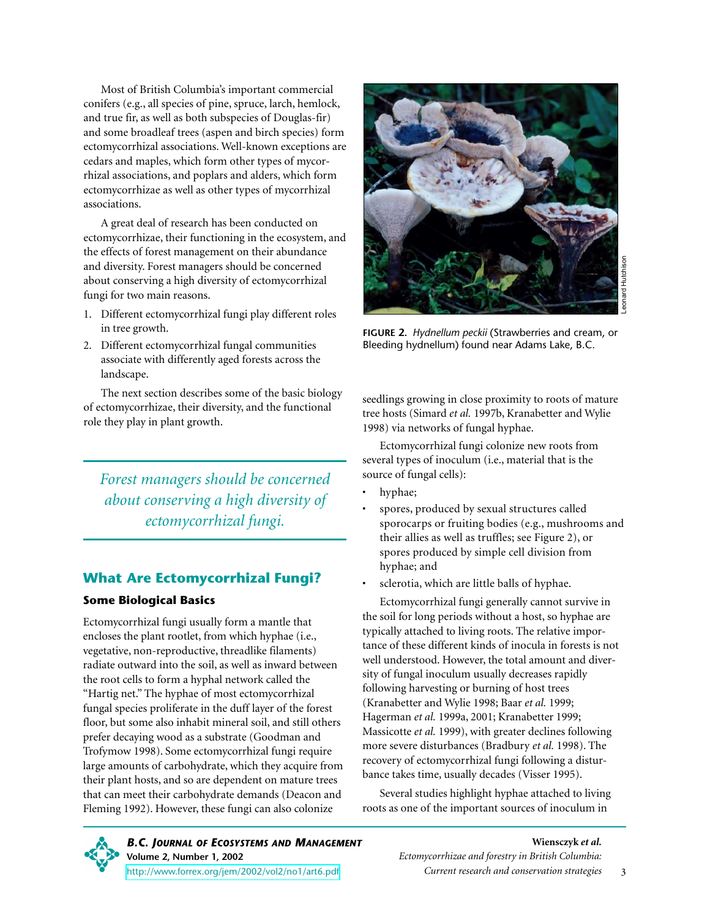Most of British Columbia's important commercial conifers (e.g., all species of pine, spruce, larch, hemlock, and true fir, as well as both subspecies of Douglas-fir) and some broadleaf trees (aspen and birch species) form ectomycorrhizal associations. Well-known exceptions are cedars and maples, which form other types of mycorrhizal associations, and poplars and alders, which form ectomycorrhizae as well as other types of mycorrhizal associations.

A great deal of research has been conducted on ectomycorrhizae, their functioning in the ecosystem, and the effects of forest management on their abundance and diversity. Forest managers should be concerned about conserving a high diversity of ectomycorrhizal fungi for two main reasons.

- 1. Different ectomycorrhizal fungi play different roles in tree growth.
- 2. Different ectomycorrhizal fungal communities associate with differently aged forests across the landscape.

The next section describes some of the basic biology of ectomycorrhizae, their diversity, and the functional role they play in plant growth.

*Forest managers should be concerned about conserving a high diversity of ectomycorrhizal fungi.*

#### **What Are Ectomycorrhizal Fungi?**

#### **Some Biological Basics**

Ectomycorrhizal fungi usually form a mantle that encloses the plant rootlet, from which hyphae (i.e., vegetative, non-reproductive, threadlike filaments) radiate outward into the soil, as well as inward between the root cells to form a hyphal network called the "Hartig net." The hyphae of most ectomycorrhizal fungal species proliferate in the duff layer of the forest floor, but some also inhabit mineral soil, and still others prefer decaying wood as a substrate (Goodman and Trofymow 1998). Some ectomycorrhizal fungi require large amounts of carbohydrate, which they acquire from their plant hosts, and so are dependent on mature trees that can meet their carbohydrate demands (Deacon and Fleming 1992). However, these fungi can also colonize



**FIGURE 2.** *Hydnellum peckii* (Strawberries and cream, or Bleeding hydnellum) found near Adams Lake, B.C.

seedlings growing in close proximity to roots of mature tree hosts (Simard *et al.* 1997b, Kranabetter and Wylie 1998) via networks of fungal hyphae.

Ectomycorrhizal fungi colonize new roots from several types of inoculum (i.e., material that is the source of fungal cells):

- hyphae;
- spores, produced by sexual structures called sporocarps or fruiting bodies (e.g., mushrooms and their allies as well as truffles; see Figure 2), or spores produced by simple cell division from hyphae; and
- sclerotia, which are little balls of hyphae.

Ectomycorrhizal fungi generally cannot survive in the soil for long periods without a host, so hyphae are typically attached to living roots. The relative importance of these different kinds of inocula in forests is not well understood. However, the total amount and diversity of fungal inoculum usually decreases rapidly following harvesting or burning of host trees (Kranabetter and Wylie 1998; Baar *et al.* 1999; Hagerman *et al.* 1999a, 2001; Kranabetter 1999; Massicotte *et al.* 1999), with greater declines following more severe disturbances (Bradbury *et al.* 1998). The recovery of ectomycorrhizal fungi following a disturbance takes time, usually decades (Visser 1995).

Several studies highlight hyphae attached to living roots as one of the important sources of inoculum in

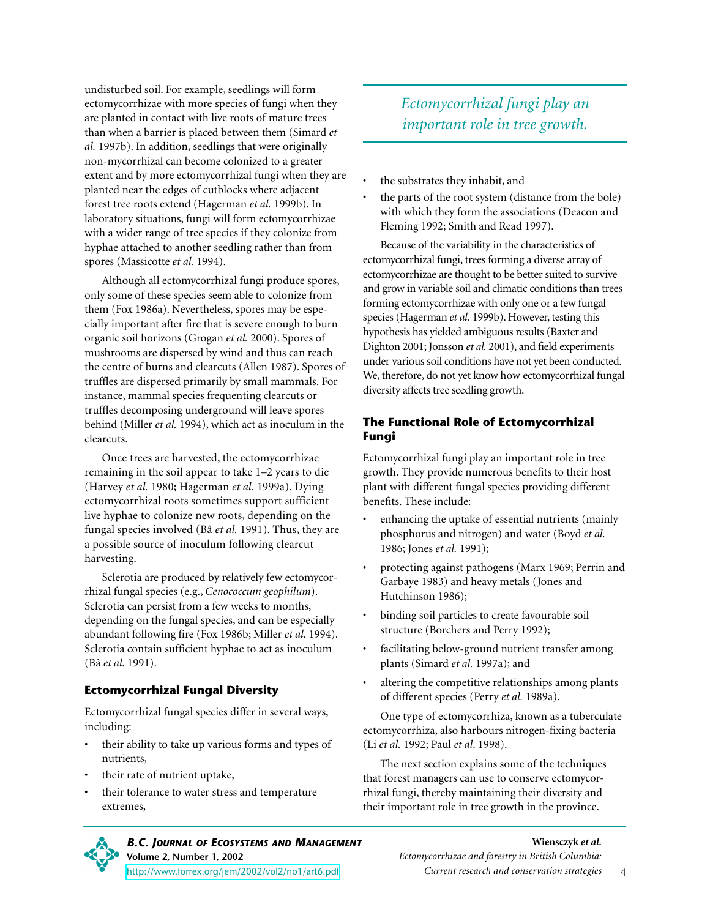undisturbed soil. For example, seedlings will form ectomycorrhizae with more species of fungi when they are planted in contact with live roots of mature trees than when a barrier is placed between them (Simard *et al.* 1997b). In addition, seedlings that were originally non-mycorrhizal can become colonized to a greater extent and by more ectomycorrhizal fungi when they are planted near the edges of cutblocks where adjacent forest tree roots extend (Hagerman *et al.* 1999b). In laboratory situations, fungi will form ectomycorrhizae with a wider range of tree species if they colonize from hyphae attached to another seedling rather than from spores (Massicotte *et al.* 1994).

Although all ectomycorrhizal fungi produce spores, only some of these species seem able to colonize from them (Fox 1986a). Nevertheless, spores may be especially important after fire that is severe enough to burn organic soil horizons (Grogan *et al.* 2000). Spores of mushrooms are dispersed by wind and thus can reach the centre of burns and clearcuts (Allen 1987). Spores of truffles are dispersed primarily by small mammals. For instance, mammal species frequenting clearcuts or truffles decomposing underground will leave spores behind (Miller *et al.* 1994), which act as inoculum in the clearcuts.

Once trees are harvested, the ectomycorrhizae remaining in the soil appear to take 1–2 years to die (Harvey *et al.* 1980; Hagerman *et al.* 1999a). Dying ectomycorrhizal roots sometimes support sufficient live hyphae to colonize new roots, depending on the fungal species involved (Bâ *et al.* 1991). Thus, they are a possible source of inoculum following clearcut harvesting.

Sclerotia are produced by relatively few ectomycorrhizal fungal species (e.g., *Cenococcum geophilum*). Sclerotia can persist from a few weeks to months, depending on the fungal species, and can be especially abundant following fire (Fox 1986b; Miller *et al.* 1994). Sclerotia contain sufficient hyphae to act as inoculum (Bâ *et al.* 1991).

#### **Ectomycorrhizal Fungal Diversity**

Ectomycorrhizal fungal species differ in several ways, including:

- their ability to take up various forms and types of nutrients,
- their rate of nutrient uptake,
- their tolerance to water stress and temperature extremes,

### *Ectomycorrhizal fungi play an important role in tree growth.*

- the substrates they inhabit, and
- the parts of the root system (distance from the bole) with which they form the associations (Deacon and Fleming 1992; Smith and Read 1997).

Because of the variability in the characteristics of ectomycorrhizal fungi, trees forming a diverse array of ectomycorrhizae are thought to be better suited to survive and grow in variable soil and climatic conditions than trees forming ectomycorrhizae with only one or a few fungal species (Hagerman *et al.* 1999b). However, testing this hypothesis has yielded ambiguous results (Baxter and Dighton 2001; Jonsson *et al.* 2001), and field experiments under various soil conditions have not yet been conducted. We, therefore, do not yet know how ectomycorrhizal fungal diversity affects tree seedling growth.

#### **The Functional Role of Ectomycorrhizal Fungi**

Ectomycorrhizal fungi play an important role in tree growth. They provide numerous benefits to their host plant with different fungal species providing different benefits. These include:

- enhancing the uptake of essential nutrients (mainly phosphorus and nitrogen) and water (Boyd *et al.* 1986; Jones *et al.* 1991);
- protecting against pathogens (Marx 1969; Perrin and Garbaye 1983) and heavy metals (Jones and Hutchinson 1986);
- binding soil particles to create favourable soil structure (Borchers and Perry 1992);
- facilitating below-ground nutrient transfer among plants (Simard *et al.* 1997a); and
- altering the competitive relationships among plants of different species (Perry *et al.* 1989a).

One type of ectomycorrhiza, known as a tuberculate ectomycorrhiza, also harbours nitrogen-fixing bacteria (Li *et al.* 1992; Paul *et al*. 1998).

The next section explains some of the techniques that forest managers can use to conserve ectomycorrhizal fungi, thereby maintaining their diversity and their important role in tree growth in the province.



*B.C. JOURNAL OF ECOSYSTEMS AND MANAGEMENT* **Volume 2, Number 1, 2002** <http://www.forrex.org/jem/2002/vol2/no1/art6.pdf>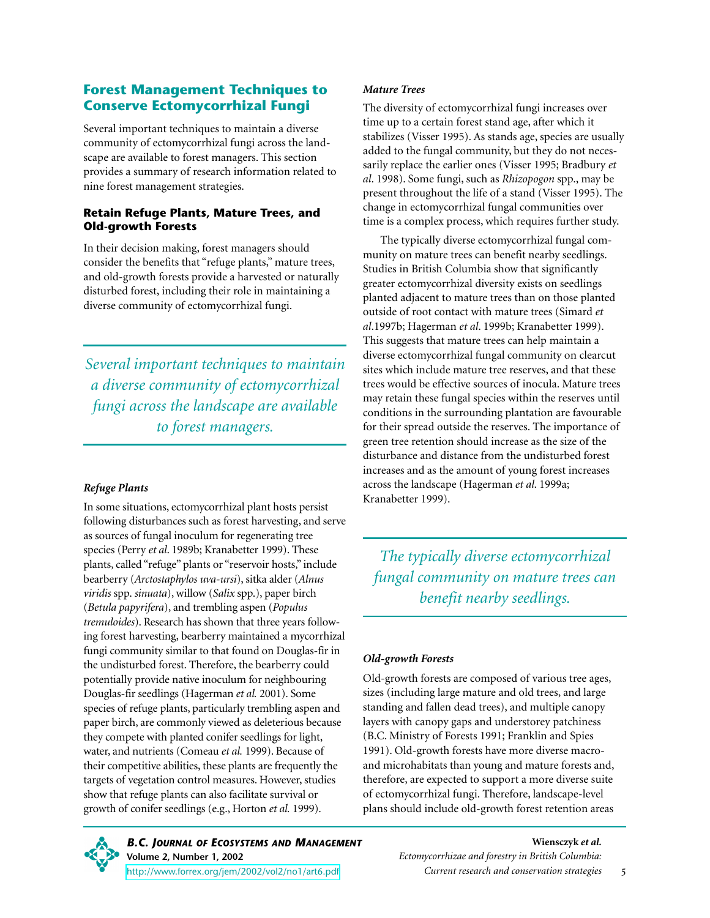#### **Forest Management Techniques to Conserve Ectomycorrhizal Fungi**

Several important techniques to maintain a diverse community of ectomycorrhizal fungi across the landscape are available to forest managers. This section provides a summary of research information related to nine forest management strategies.

#### **Retain Refuge Plants, Mature Trees, and Old-growth Forests**

In their decision making, forest managers should consider the benefits that "refuge plants," mature trees, and old-growth forests provide a harvested or naturally disturbed forest, including their role in maintaining a diverse community of ectomycorrhizal fungi.

*Several important techniques to maintain a diverse community of ectomycorrhizal fungi across the landscape are available to forest managers.*

#### *Refuge Plants*

In some situations, ectomycorrhizal plant hosts persist following disturbances such as forest harvesting, and serve as sources of fungal inoculum for regenerating tree species (Perry *et al*. 1989b; Kranabetter 1999). These plants, called "refuge" plants or "reservoir hosts," include bearberry (*Arctostaphylos uva-ursi*), sitka alder (*Alnus viridis* spp. *sinuata*), willow (*Salix* spp.), paper birch (*Betula papyrifera*), and trembling aspen (*Populus tremuloides*). Research has shown that three years following forest harvesting, bearberry maintained a mycorrhizal fungi community similar to that found on Douglas-fir in the undisturbed forest. Therefore, the bearberry could potentially provide native inoculum for neighbouring Douglas-fir seedlings (Hagerman *et al.* 2001). Some species of refuge plants, particularly trembling aspen and paper birch, are commonly viewed as deleterious because they compete with planted conifer seedlings for light, water, and nutrients (Comeau *et al.* 1999). Because of their competitive abilities, these plants are frequently the targets of vegetation control measures. However, studies show that refuge plants can also facilitate survival or growth of conifer seedlings (e.g., Horton *et al.* 1999).

#### *Mature Trees*

The diversity of ectomycorrhizal fungi increases over time up to a certain forest stand age, after which it stabilizes (Visser 1995). As stands age, species are usually added to the fungal community, but they do not necessarily replace the earlier ones (Visser 1995; Bradbury *et al*. 1998). Some fungi, such as *Rhizopogon* spp., may be present throughout the life of a stand (Visser 1995). The change in ectomycorrhizal fungal communities over time is a complex process, which requires further study.

The typically diverse ectomycorrhizal fungal community on mature trees can benefit nearby seedlings. Studies in British Columbia show that significantly greater ectomycorrhizal diversity exists on seedlings planted adjacent to mature trees than on those planted outside of root contact with mature trees (Simard *et al*.1997b; Hagerman *et al*. 1999b; Kranabetter 1999). This suggests that mature trees can help maintain a diverse ectomycorrhizal fungal community on clearcut sites which include mature tree reserves, and that these trees would be effective sources of inocula. Mature trees may retain these fungal species within the reserves until conditions in the surrounding plantation are favourable for their spread outside the reserves. The importance of green tree retention should increase as the size of the disturbance and distance from the undisturbed forest increases and as the amount of young forest increases across the landscape (Hagerman *et al*. 1999a; Kranabetter 1999).

*The typically diverse ectomycorrhizal fungal community on mature trees can benefit nearby seedlings.*

#### *Old-growth Forests*

Old-growth forests are composed of various tree ages, sizes (including large mature and old trees, and large standing and fallen dead trees), and multiple canopy layers with canopy gaps and understorey patchiness (B.C. Ministry of Forests 1991; Franklin and Spies 1991). Old-growth forests have more diverse macroand microhabitats than young and mature forests and, therefore, are expected to support a more diverse suite of ectomycorrhizal fungi. Therefore, landscape-level plans should include old-growth forest retention areas

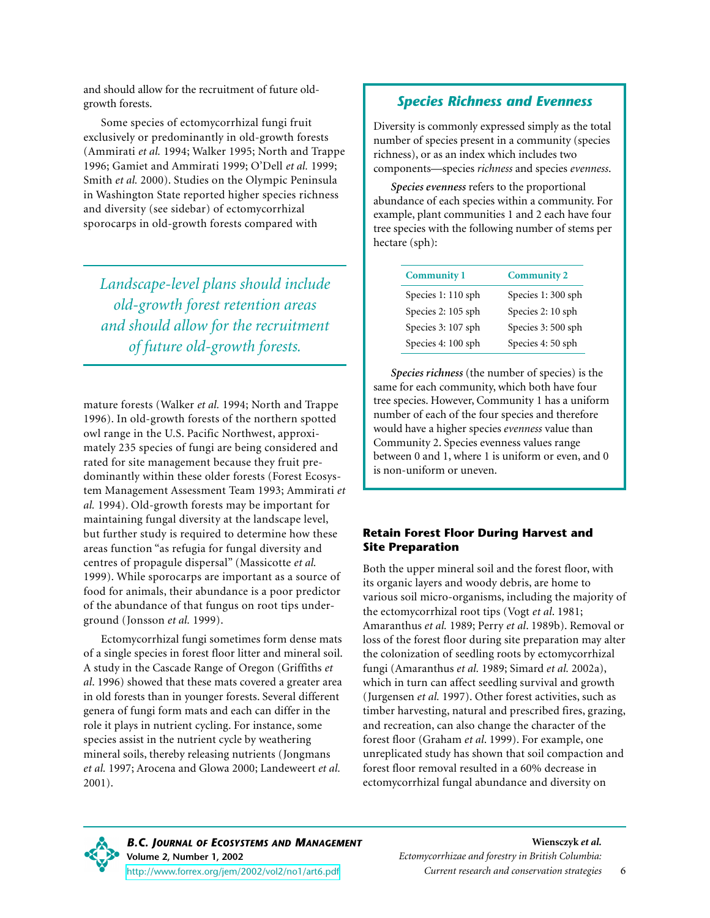and should allow for the recruitment of future oldgrowth forests.

Some species of ectomycorrhizal fungi fruit exclusively or predominantly in old-growth forests (Ammirati *et al.* 1994; Walker 1995; North and Trappe 1996; Gamiet and Ammirati 1999; O'Dell *et al.* 1999; Smith *et al.* 2000). Studies on the Olympic Peninsula in Washington State reported higher species richness and diversity (see sidebar) of ectomycorrhizal sporocarps in old-growth forests compared with

*Landscape-level plans should include old-growth forest retention areas and should allow for the recruitment of future old-growth forests.*

mature forests (Walker *et al.* 1994; North and Trappe 1996). In old-growth forests of the northern spotted owl range in the U.S. Pacific Northwest, approximately 235 species of fungi are being considered and rated for site management because they fruit predominantly within these older forests (Forest Ecosystem Management Assessment Team 1993; Ammirati *et al.* 1994). Old-growth forests may be important for maintaining fungal diversity at the landscape level, but further study is required to determine how these areas function "as refugia for fungal diversity and centres of propagule dispersal" (Massicotte *et al.* 1999). While sporocarps are important as a source of food for animals, their abundance is a poor predictor of the abundance of that fungus on root tips underground (Jonsson *et al.* 1999).

Ectomycorrhizal fungi sometimes form dense mats of a single species in forest floor litter and mineral soil. A study in the Cascade Range of Oregon (Griffiths *et al*. 1996) showed that these mats covered a greater area in old forests than in younger forests. Several different genera of fungi form mats and each can differ in the role it plays in nutrient cycling. For instance, some species assist in the nutrient cycle by weathering mineral soils, thereby releasing nutrients (Jongmans *et al.* 1997; Arocena and Glowa 2000; Landeweert *et al.* 2001).

#### *Species Richness and Evenness*

Diversity is commonly expressed simply as the total number of species present in a community (species richness), or as an index which includes two components—species *richness* and species *evenness*.

*Species evenness* refers to the proportional abundance of each species within a community. For example, plant communities 1 and 2 each have four tree species with the following number of stems per hectare (sph):

| <b>Community 1</b> | <b>Community 2</b> |
|--------------------|--------------------|
| Species 1: 110 sph | Species 1:300 sph  |
| Species 2: 105 sph | Species 2: 10 sph  |
| Species 3: 107 sph | Species 3: 500 sph |
| Species 4: 100 sph | Species 4: 50 sph  |

*Species richness* (the number of species) is the same for each community, which both have four tree species. However, Community 1 has a uniform number of each of the four species and therefore would have a higher species *evenness* value than Community 2. Species evenness values range between 0 and 1, where 1 is uniform or even, and 0 is non-uniform or uneven.

#### **Retain Forest Floor During Harvest and Site Preparation**

Both the upper mineral soil and the forest floor, with its organic layers and woody debris, are home to various soil micro-organisms, including the majority of the ectomycorrhizal root tips (Vogt *et al*. 1981; Amaranthus *et al.* 1989; Perry *et al*. 1989b). Removal or loss of the forest floor during site preparation may alter the colonization of seedling roots by ectomycorrhizal fungi (Amaranthus *et al.* 1989; Simard *et al.* 2002a), which in turn can affect seedling survival and growth (Jurgensen *et al.* 1997). Other forest activities, such as timber harvesting, natural and prescribed fires, grazing, and recreation, can also change the character of the forest floor (Graham *et al*. 1999). For example, one unreplicated study has shown that soil compaction and forest floor removal resulted in a 60% decrease in ectomycorrhizal fungal abundance and diversity on



*B.C. JOURNAL OF ECOSYSTEMS AND MANAGEMENT* **Volume 2, Number 1, 2002** <http://www.forrex.org/jem/2002/vol2/no1/art6.pdf>

6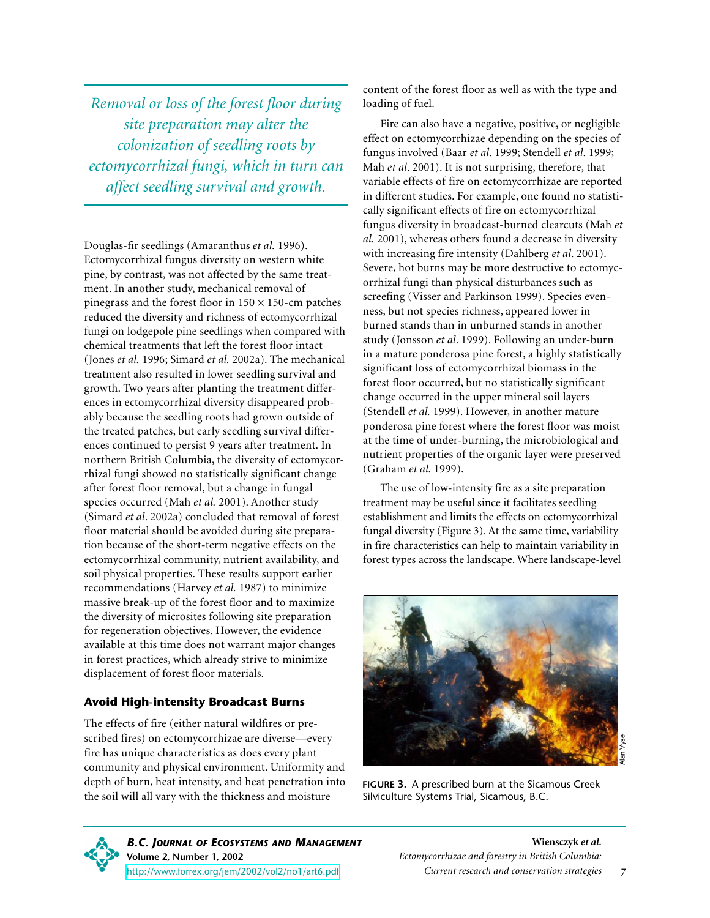*Removal or loss of the forest floor during site preparation may alter the colonization of seedling roots by ectomycorrhizal fungi, which in turn can affect seedling survival and growth.*

Douglas-fir seedlings (Amaranthus *et al.* 1996). Ectomycorrhizal fungus diversity on western white pine, by contrast, was not affected by the same treatment. In another study, mechanical removal of pinegrass and the forest floor in  $150 \times 150$ -cm patches reduced the diversity and richness of ectomycorrhizal fungi on lodgepole pine seedlings when compared with chemical treatments that left the forest floor intact (Jones *et al.* 1996; Simard *et al.* 2002a). The mechanical treatment also resulted in lower seedling survival and growth. Two years after planting the treatment differences in ectomycorrhizal diversity disappeared probably because the seedling roots had grown outside of the treated patches, but early seedling survival differences continued to persist 9 years after treatment. In northern British Columbia, the diversity of ectomycorrhizal fungi showed no statistically significant change after forest floor removal, but a change in fungal species occurred (Mah *et al.* 2001). Another study (Simard *et al*. 2002a) concluded that removal of forest floor material should be avoided during site preparation because of the short-term negative effects on the ectomycorrhizal community, nutrient availability, and soil physical properties. These results support earlier recommendations (Harvey *et al.* 1987) to minimize massive break-up of the forest floor and to maximize the diversity of microsites following site preparation for regeneration objectives. However, the evidence available at this time does not warrant major changes in forest practices, which already strive to minimize displacement of forest floor materials.

#### **Avoid High-intensity Broadcast Burns**

The effects of fire (either natural wildfires or prescribed fires) on ectomycorrhizae are diverse—every fire has unique characteristics as does every plant community and physical environment. Uniformity and depth of burn, heat intensity, and heat penetration into the soil will all vary with the thickness and moisture

content of the forest floor as well as with the type and loading of fuel.

Fire can also have a negative, positive, or negligible effect on ectomycorrhizae depending on the species of fungus involved (Baar *et al*. 1999; Stendell *et al*. 1999; Mah *et al*. 2001). It is not surprising, therefore, that variable effects of fire on ectomycorrhizae are reported in different studies. For example, one found no statistically significant effects of fire on ectomycorrhizal fungus diversity in broadcast-burned clearcuts (Mah *et al.* 2001), whereas others found a decrease in diversity with increasing fire intensity (Dahlberg *et al*. 2001). Severe, hot burns may be more destructive to ectomycorrhizal fungi than physical disturbances such as screefing (Visser and Parkinson 1999). Species evenness, but not species richness, appeared lower in burned stands than in unburned stands in another study (Jonsson *et al*. 1999). Following an under-burn in a mature ponderosa pine forest, a highly statistically significant loss of ectomycorrhizal biomass in the forest floor occurred, but no statistically significant change occurred in the upper mineral soil layers (Stendell *et al.* 1999). However, in another mature ponderosa pine forest where the forest floor was moist at the time of under-burning, the microbiological and nutrient properties of the organic layer were preserved (Graham *et al.* 1999).

The use of low-intensity fire as a site preparation treatment may be useful since it facilitates seedling establishment and limits the effects on ectomycorrhizal fungal diversity (Figure 3). At the same time, variability in fire characteristics can help to maintain variability in forest types across the landscape. Where landscape-level



**FIGURE 3.** A prescribed burn at the Sicamous Creek Silviculture Systems Trial, Sicamous, B.C.

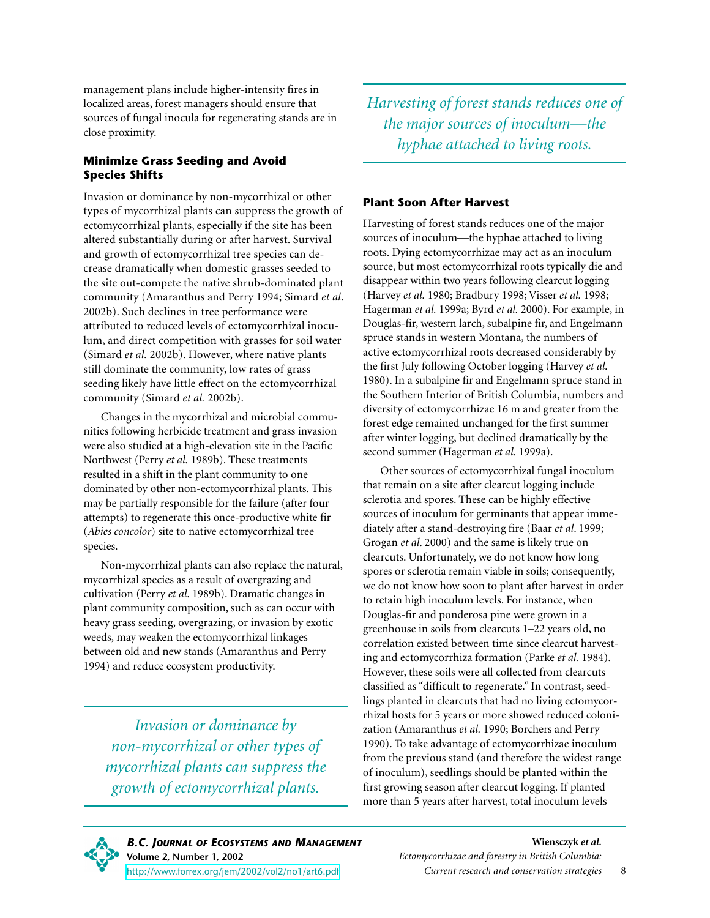management plans include higher-intensity fires in localized areas, forest managers should ensure that sources of fungal inocula for regenerating stands are in close proximity.

#### **Minimize Grass Seeding and Avoid Species Shifts**

Invasion or dominance by non-mycorrhizal or other types of mycorrhizal plants can suppress the growth of ectomycorrhizal plants, especially if the site has been altered substantially during or after harvest. Survival and growth of ectomycorrhizal tree species can decrease dramatically when domestic grasses seeded to the site out-compete the native shrub-dominated plant community (Amaranthus and Perry 1994; Simard *et al*. 2002b). Such declines in tree performance were attributed to reduced levels of ectomycorrhizal inoculum, and direct competition with grasses for soil water (Simard *et al.* 2002b). However, where native plants still dominate the community, low rates of grass seeding likely have little effect on the ectomycorrhizal community (Simard *et al.* 2002b).

Changes in the mycorrhizal and microbial communities following herbicide treatment and grass invasion were also studied at a high-elevation site in the Pacific Northwest (Perry *et al.* 1989b). These treatments resulted in a shift in the plant community to one dominated by other non-ectomycorrhizal plants. This may be partially responsible for the failure (after four attempts) to regenerate this once-productive white fir (*Abies concolor*) site to native ectomycorrhizal tree species.

Non-mycorrhizal plants can also replace the natural, mycorrhizal species as a result of overgrazing and cultivation (Perry *et al*. 1989b). Dramatic changes in plant community composition, such as can occur with heavy grass seeding, overgrazing, or invasion by exotic weeds, may weaken the ectomycorrhizal linkages between old and new stands (Amaranthus and Perry 1994) and reduce ecosystem productivity.

*Invasion or dominance by non-mycorrhizal or other types of mycorrhizal plants can suppress the growth of ectomycorrhizal plants.*

*Harvesting of forest stands reduces one of the major sources of inoculum—the hyphae attached to living roots.*

#### **Plant Soon After Harvest**

Harvesting of forest stands reduces one of the major sources of inoculum—the hyphae attached to living roots. Dying ectomycorrhizae may act as an inoculum source, but most ectomycorrhizal roots typically die and disappear within two years following clearcut logging (Harvey *et al.* 1980; Bradbury 1998; Visser *et al.* 1998; Hagerman *et al.* 1999a; Byrd *et al.* 2000). For example, in Douglas-fir, western larch, subalpine fir, and Engelmann spruce stands in western Montana, the numbers of active ectomycorrhizal roots decreased considerably by the first July following October logging (Harvey *et al.* 1980). In a subalpine fir and Engelmann spruce stand in the Southern Interior of British Columbia, numbers and diversity of ectomycorrhizae 16 m and greater from the forest edge remained unchanged for the first summer after winter logging, but declined dramatically by the second summer (Hagerman *et al.* 1999a).

Other sources of ectomycorrhizal fungal inoculum that remain on a site after clearcut logging include sclerotia and spores. These can be highly effective sources of inoculum for germinants that appear immediately after a stand-destroying fire (Baar *et al*. 1999; Grogan *et al*. 2000) and the same is likely true on clearcuts. Unfortunately, we do not know how long spores or sclerotia remain viable in soils; consequently, we do not know how soon to plant after harvest in order to retain high inoculum levels. For instance, when Douglas-fir and ponderosa pine were grown in a greenhouse in soils from clearcuts 1–22 years old, no correlation existed between time since clearcut harvesting and ectomycorrhiza formation (Parke *et al.* 1984). However, these soils were all collected from clearcuts classified as "difficult to regenerate." In contrast, seedlings planted in clearcuts that had no living ectomycorrhizal hosts for 5 years or more showed reduced colonization (Amaranthus *et al.* 1990; Borchers and Perry 1990). To take advantage of ectomycorrhizae inoculum from the previous stand (and therefore the widest range of inoculum), seedlings should be planted within the first growing season after clearcut logging. If planted more than 5 years after harvest, total inoculum levels



8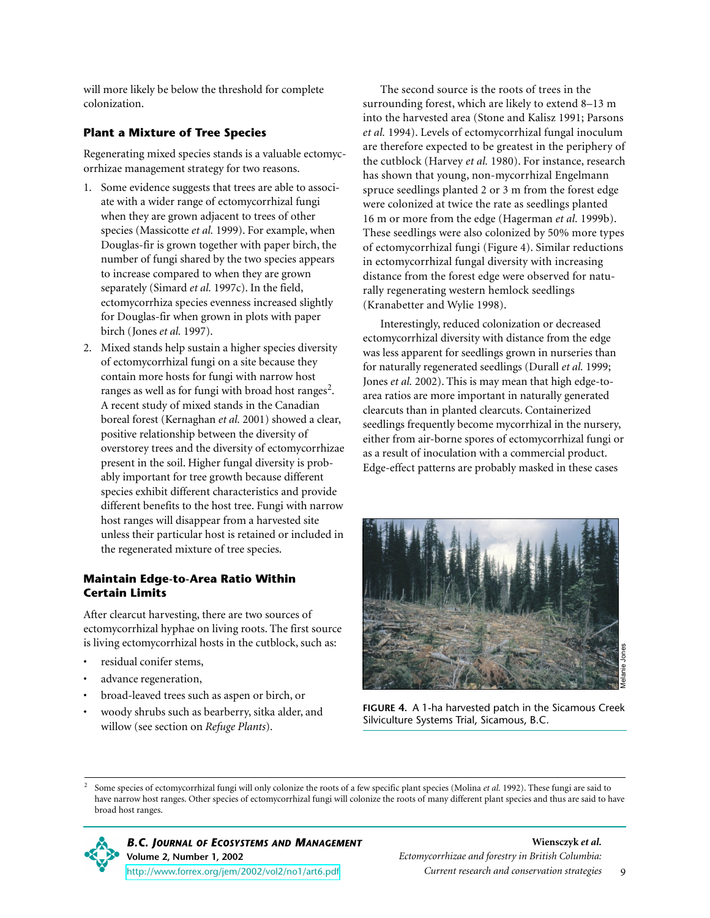will more likely be below the threshold for complete colonization.

#### **Plant a Mixture of Tree Species**

Regenerating mixed species stands is a valuable ectomycorrhizae management strategy for two reasons.

- 1. Some evidence suggests that trees are able to associate with a wider range of ectomycorrhizal fungi when they are grown adjacent to trees of other species (Massicotte *et al.* 1999). For example, when Douglas-fir is grown together with paper birch, the number of fungi shared by the two species appears to increase compared to when they are grown separately (Simard *et al.* 1997c). In the field, ectomycorrhiza species evenness increased slightly for Douglas-fir when grown in plots with paper birch (Jones *et al.* 1997).
- 2. Mixed stands help sustain a higher species diversity of ectomycorrhizal fungi on a site because they contain more hosts for fungi with narrow host ranges as well as for fungi with broad host ranges<sup>2</sup>. A recent study of mixed stands in the Canadian boreal forest (Kernaghan *et al.* 2001) showed a clear, positive relationship between the diversity of overstorey trees and the diversity of ectomycorrhizae present in the soil. Higher fungal diversity is probably important for tree growth because different species exhibit different characteristics and provide different benefits to the host tree. Fungi with narrow host ranges will disappear from a harvested site unless their particular host is retained or included in the regenerated mixture of tree species.

#### **Maintain Edge-to-Area Ratio Within Certain Limits**

After clearcut harvesting, there are two sources of ectomycorrhizal hyphae on living roots. The first source is living ectomycorrhizal hosts in the cutblock, such as:

- residual conifer stems,
- advance regeneration,
- broad-leaved trees such as aspen or birch, or
- woody shrubs such as bearberry, sitka alder, and willow (see section on *Refuge Plants*).

The second source is the roots of trees in the surrounding forest, which are likely to extend 8–13 m into the harvested area (Stone and Kalisz 1991; Parsons *et al.* 1994). Levels of ectomycorrhizal fungal inoculum are therefore expected to be greatest in the periphery of the cutblock (Harvey *et al.* 1980). For instance, research has shown that young, non-mycorrhizal Engelmann spruce seedlings planted 2 or 3 m from the forest edge were colonized at twice the rate as seedlings planted 16 m or more from the edge (Hagerman *et al.* 1999b). These seedlings were also colonized by 50% more types of ectomycorrhizal fungi (Figure 4). Similar reductions in ectomycorrhizal fungal diversity with increasing distance from the forest edge were observed for naturally regenerating western hemlock seedlings (Kranabetter and Wylie 1998).

Interestingly, reduced colonization or decreased ectomycorrhizal diversity with distance from the edge was less apparent for seedlings grown in nurseries than for naturally regenerated seedlings (Durall *et al.* 1999; Jones *et al.* 2002). This is may mean that high edge-toarea ratios are more important in naturally generated clearcuts than in planted clearcuts. Containerized seedlings frequently become mycorrhizal in the nursery, either from air-borne spores of ectomycorrhizal fungi or as a result of inoculation with a commercial product. Edge-effect patterns are probably masked in these cases



**FIGURE 4.** A 1-ha harvested patch in the Sicamous Creek Silviculture Systems Trial, Sicamous, B.C.

<sup>2</sup> Some species of ectomycorrhizal fungi will only colonize the roots of a few specific plant species (Molina *et al.* 1992). These fungi are said to have narrow host ranges. Other species of ectomycorrhizal fungi will colonize the roots of many different plant species and thus are said to have broad host ranges.



*B.C. JOURNAL OF ECOSYSTEMS AND MANAGEMENT* **Volume 2, Number 1, 2002** <http://www.forrex.org/jem/2002/vol2/no1/art6.pdf>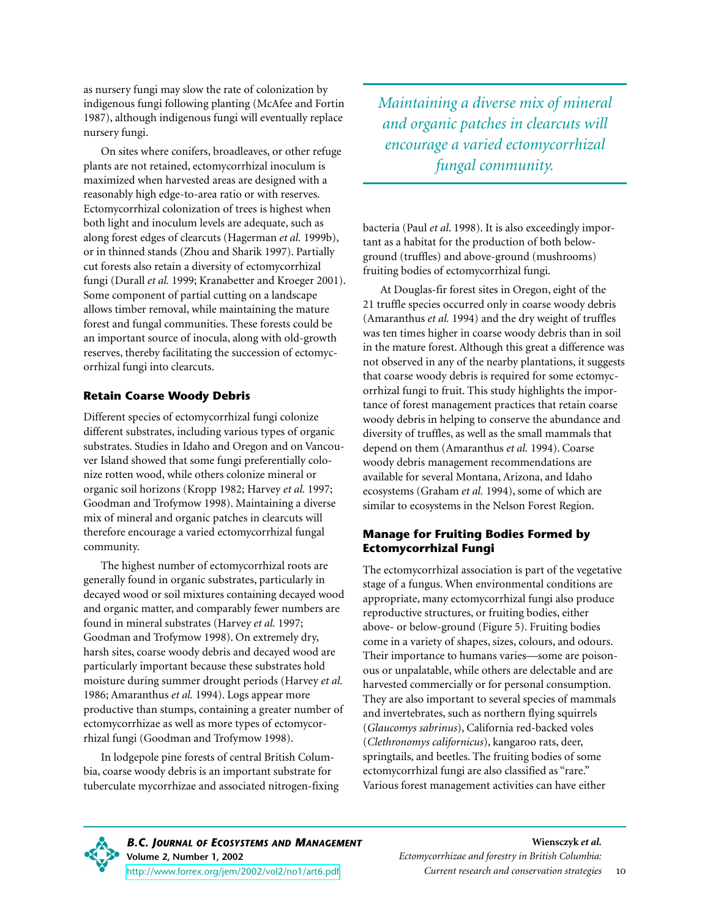as nursery fungi may slow the rate of colonization by indigenous fungi following planting (McAfee and Fortin 1987), although indigenous fungi will eventually replace nursery fungi.

On sites where conifers, broadleaves, or other refuge plants are not retained, ectomycorrhizal inoculum is maximized when harvested areas are designed with a reasonably high edge-to-area ratio or with reserves. Ectomycorrhizal colonization of trees is highest when both light and inoculum levels are adequate, such as along forest edges of clearcuts (Hagerman *et al.* 1999b), or in thinned stands (Zhou and Sharik 1997). Partially cut forests also retain a diversity of ectomycorrhizal fungi (Durall *et al.* 1999; Kranabetter and Kroeger 2001). Some component of partial cutting on a landscape allows timber removal, while maintaining the mature forest and fungal communities. These forests could be an important source of inocula, along with old-growth reserves, thereby facilitating the succession of ectomycorrhizal fungi into clearcuts.

#### **Retain Coarse Woody Debris**

Different species of ectomycorrhizal fungi colonize different substrates, including various types of organic substrates. Studies in Idaho and Oregon and on Vancouver Island showed that some fungi preferentially colonize rotten wood, while others colonize mineral or organic soil horizons (Kropp 1982; Harvey *et al.* 1997; Goodman and Trofymow 1998). Maintaining a diverse mix of mineral and organic patches in clearcuts will therefore encourage a varied ectomycorrhizal fungal community.

The highest number of ectomycorrhizal roots are generally found in organic substrates, particularly in decayed wood or soil mixtures containing decayed wood and organic matter, and comparably fewer numbers are found in mineral substrates (Harvey *et al.* 1997; Goodman and Trofymow 1998). On extremely dry, harsh sites, coarse woody debris and decayed wood are particularly important because these substrates hold moisture during summer drought periods (Harvey *et al.* 1986; Amaranthus *et al.* 1994). Logs appear more productive than stumps, containing a greater number of ectomycorrhizae as well as more types of ectomycorrhizal fungi (Goodman and Trofymow 1998).

In lodgepole pine forests of central British Columbia, coarse woody debris is an important substrate for tuberculate mycorrhizae and associated nitrogen-fixing *Maintaining a diverse mix of mineral and organic patches in clearcuts will encourage a varied ectomycorrhizal fungal community.*

bacteria (Paul *et al*. 1998). It is also exceedingly important as a habitat for the production of both belowground (truffles) and above-ground (mushrooms) fruiting bodies of ectomycorrhizal fungi.

At Douglas-fir forest sites in Oregon, eight of the 21 truffle species occurred only in coarse woody debris (Amaranthus *et al.* 1994) and the dry weight of truffles was ten times higher in coarse woody debris than in soil in the mature forest. Although this great a difference was not observed in any of the nearby plantations, it suggests that coarse woody debris is required for some ectomycorrhizal fungi to fruit. This study highlights the importance of forest management practices that retain coarse woody debris in helping to conserve the abundance and diversity of truffles, as well as the small mammals that depend on them (Amaranthus *et al.* 1994). Coarse woody debris management recommendations are available for several Montana, Arizona, and Idaho ecosystems (Graham *et al.* 1994), some of which are similar to ecosystems in the Nelson Forest Region.

#### **Manage for Fruiting Bodies Formed by Ectomycorrhizal Fungi**

The ectomycorrhizal association is part of the vegetative stage of a fungus. When environmental conditions are appropriate, many ectomycorrhizal fungi also produce reproductive structures, or fruiting bodies, either above- or below-ground (Figure 5). Fruiting bodies come in a variety of shapes, sizes, colours, and odours. Their importance to humans varies—some are poisonous or unpalatable, while others are delectable and are harvested commercially or for personal consumption. They are also important to several species of mammals and invertebrates, such as northern flying squirrels (*Glaucomys sabrinus*), California red-backed voles (*Clethronomys californicus*), kangaroo rats, deer, springtails, and beetles. The fruiting bodies of some ectomycorrhizal fungi are also classified as "rare." Various forest management activities can have either

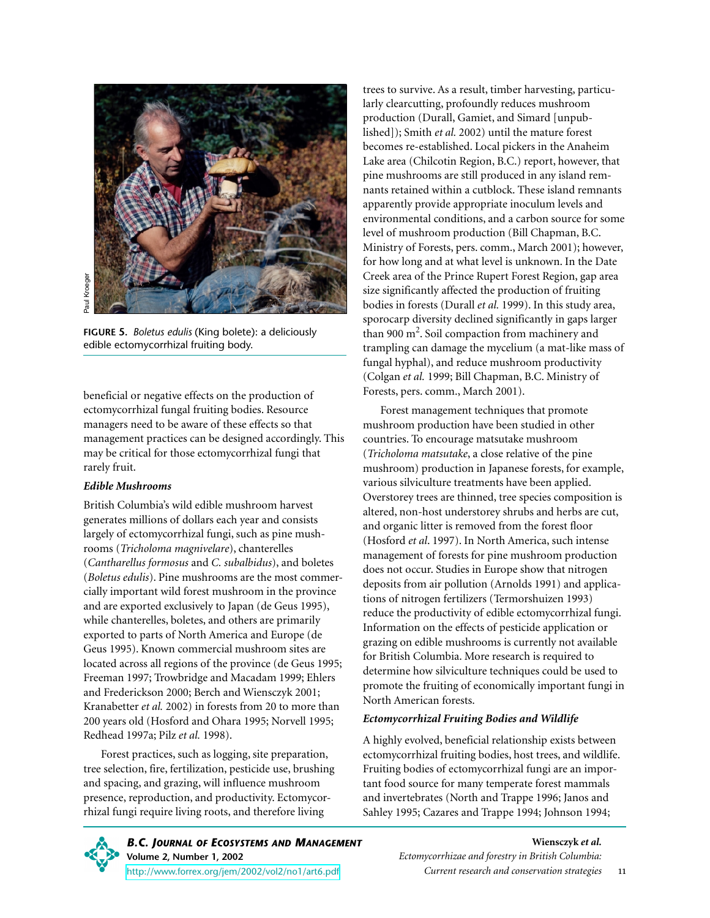

**FIGURE 5.** *Boletus edulis* (King bolete): a deliciously

beneficial or negative effects on the production of ectomycorrhizal fungal fruiting bodies. Resource managers need to be aware of these effects so that management practices can be designed accordingly. This may be critical for those ectomycorrhizal fungi that rarely fruit.

#### *Edible Mushrooms*

British Columbia's wild edible mushroom harvest generates millions of dollars each year and consists largely of ectomycorrhizal fungi, such as pine mushrooms (*Tricholoma magnivelare*), chanterelles (*Cantharellus formosus* and *C. subalbidus*), and boletes (*Boletus edulis*). Pine mushrooms are the most commercially important wild forest mushroom in the province and are exported exclusively to Japan (de Geus 1995), while chanterelles, boletes, and others are primarily exported to parts of North America and Europe (de Geus 1995). Known commercial mushroom sites are located across all regions of the province (de Geus 1995; Freeman 1997; Trowbridge and Macadam 1999; Ehlers and Frederickson 2000; Berch and Wiensczyk 2001; Kranabetter *et al.* 2002) in forests from 20 to more than 200 years old (Hosford and Ohara 1995; Norvell 1995; Redhead 1997a; Pilz *et al.* 1998).

Forest practices, such as logging, site preparation, tree selection, fire, fertilization, pesticide use, brushing and spacing, and grazing, will influence mushroom presence, reproduction, and productivity. Ectomycorrhizal fungi require living roots, and therefore living

trees to survive. As a result, timber harvesting, particularly clearcutting, profoundly reduces mushroom production (Durall, Gamiet, and Simard [unpublished]); Smith *et al.* 2002) until the mature forest becomes re-established. Local pickers in the Anaheim Lake area (Chilcotin Region, B.C.) report, however, that pine mushrooms are still produced in any island remnants retained within a cutblock. These island remnants apparently provide appropriate inoculum levels and environmental conditions, and a carbon source for some level of mushroom production (Bill Chapman, B.C. Ministry of Forests, pers. comm., March 2001); however, for how long and at what level is unknown. In the Date Creek area of the Prince Rupert Forest Region, gap area size significantly affected the production of fruiting bodies in forests (Durall *et al.* 1999). In this study area, sporocarp diversity declined significantly in gaps larger than 900 m<sup>2</sup>. Soil compaction from machinery and trampling can damage the mycelium (a mat-like mass of fungal hyphal), and reduce mushroom productivity (Colgan *et al.* 1999; Bill Chapman, B.C. Ministry of Forests, pers. comm., March 2001).

Forest management techniques that promote mushroom production have been studied in other countries. To encourage matsutake mushroom (*Tricholoma matsutake*, a close relative of the pine mushroom) production in Japanese forests, for example, various silviculture treatments have been applied. Overstorey trees are thinned, tree species composition is altered, non-host understorey shrubs and herbs are cut, and organic litter is removed from the forest floor (Hosford *et al*. 1997). In North America, such intense management of forests for pine mushroom production does not occur. Studies in Europe show that nitrogen deposits from air pollution (Arnolds 1991) and applications of nitrogen fertilizers (Termorshuizen 1993) reduce the productivity of edible ectomycorrhizal fungi. Information on the effects of pesticide application or grazing on edible mushrooms is currently not available for British Columbia. More research is required to determine how silviculture techniques could be used to promote the fruiting of economically important fungi in North American forests.

#### *Ectomycorrhizal Fruiting Bodies and Wildlife*

A highly evolved, beneficial relationship exists between ectomycorrhizal fruiting bodies, host trees, and wildlife. Fruiting bodies of ectomycorrhizal fungi are an important food source for many temperate forest mammals and invertebrates (North and Trappe 1996; Janos and Sahley 1995; Cazares and Trappe 1994; Johnson 1994;

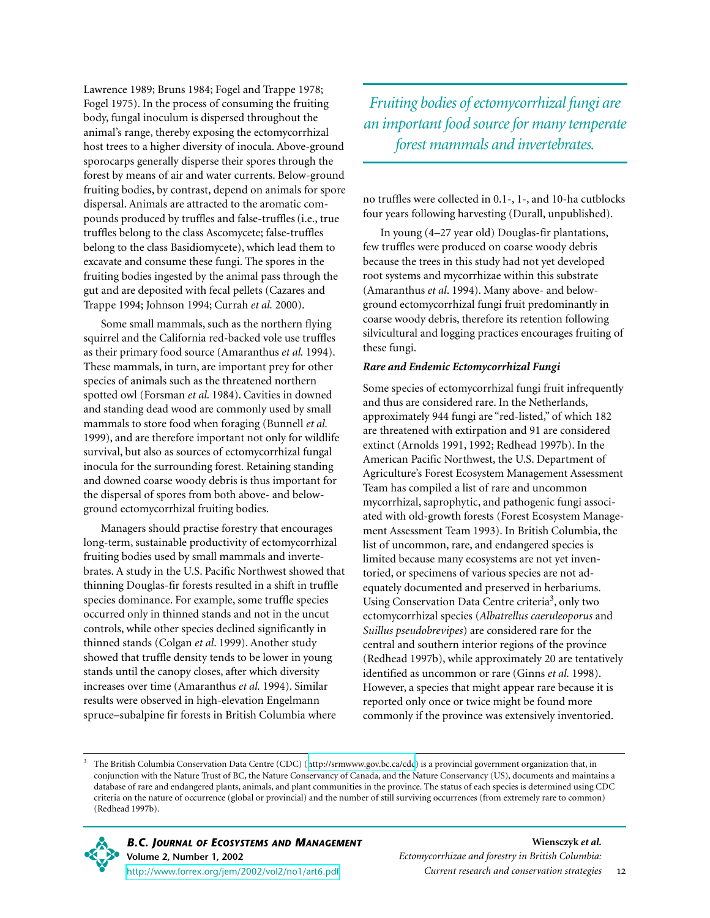Lawrence 1989; Bruns 1984; Fogel and Trappe 1978; Fogel 1975). In the process of consuming the fruiting body, fungal inoculum is dispersed throughout the animal's range, thereby exposing the ectomycorrhizal host trees to a higher diversity of inocula. Above-ground sporocarps generally disperse their spores through the forest by means of air and water currents. Below-ground fruiting bodies, by contrast, depend on animals for spore dispersal. Animals are attracted to the aromatic compounds produced by truffles and false-truffles(i.e., true truffles belong to the class Ascomycete; false-truffles belong to the class Basidiomycete), which lead them to excavate and consume these fungi. The spores in the fruiting bodies ingested by the animal pass through the gut and are deposited with fecal pellets (Cazares and Trappe 1994; Johnson 1994; Currah *et al.* 2000).

Some small mammals, such as the northern flying squirrel and the California red-backed vole use truffles as their primary food source (Amaranthus *et al.* 1994). These mammals, in turn, are important prey for other species of animals such as the threatened northern spotted owl (Forsman *et al*. 1984). Cavities in downed and standing dead wood are commonly used by small mammals to store food when foraging (Bunnell *et al.* 1999), and are therefore important not only for wildlife survival, but also as sources of ectomycorrhizal fungal inocula for the surrounding forest. Retaining standing and downed coarse woody debris is thus important for the dispersal of spores from both above- and belowground ectomycorrhizal fruiting bodies.

Managers should practise forestry that encourages long-term, sustainable productivity of ectomycorrhizal fruiting bodies used by small mammals and invertebrates. A study in the U.S. Pacific Northwest showed that thinning Douglas-fir forests resulted in a shift in truffle species dominance. For example, some truffle species occurred only in thinned stands and not in the uncut controls, while other species declined significantly in thinned stands (Colgan *et al*. 1999). Another study showed that truffle density tends to be lower in young stands until the canopy closes, after which diversity increases over time (Amaranthus *et al.* 1994). Similar results were observed in high-elevation Engelmann spruce–subalpine fir forests in British Columbia where

*Fruiting bodies of ectomycorrhizal fungi are an important food source for many temperate forest mammals and invertebrates.*

no truffles were collected in 0.1-, 1-, and 10-ha cutblocks four years following harvesting (Durall, unpublished).

In young (4–27 year old) Douglas-fir plantations, few truffles were produced on coarse woody debris because the trees in this study had not yet developed root systems and mycorrhizae within this substrate (Amaranthus *et al*. 1994). Many above- and belowground ectomycorrhizal fungi fruit predominantly in coarse woody debris, therefore its retention following silvicultural and logging practices encourages fruiting of these fungi.

#### *Rare and Endemic Ectomycorrhizal Fungi*

Some species of ectomycorrhizal fungi fruit infrequently and thus are considered rare. In the Netherlands, approximately 944 fungi are "red-listed," of which 182 are threatened with extirpation and 91 are considered extinct (Arnolds 1991, 1992; Redhead 1997b). In the American Pacific Northwest, the U.S. Department of Agriculture's Forest Ecosystem Management Assessment Team has compiled a list of rare and uncommon mycorrhizal, saprophytic, and pathogenic fungi associated with old-growth forests (Forest Ecosystem Management Assessment Team 1993). In British Columbia, the list of uncommon, rare, and endangered species is limited because many ecosystems are not yet inventoried, or specimens of various species are not adequately documented and preserved in herbariums. Using Conservation Data Centre criteria<sup>3</sup>, only two ectomycorrhizal species (*Albatrellus caeruleoporus* and *Suillus pseudobrevipes*) are considered rare for the central and southern interior regions of the province (Redhead 1997b), while approximately 20 are tentatively identified as uncommon or rare (Ginns *et al.* 1998). However, a species that might appear rare because it is reported only once or twice might be found more commonly if the province was extensively inventoried.

<sup>3</sup> The British Columbia Conservation Data Centre (CDC) (<http://srmwww.gov.bc.ca/cdc>) is a provincial government organization that, in conjunction with the Nature Trust of BC, the Nature Conservancy of Canada, and the Nature Conservancy (US), documents and maintains a database of rare and endangered plants, animals, and plant communities in the province. The status of each species is determined using CDC criteria on the nature of occurrence (global or provincial) and the number of still surviving occurrences (from extremely rare to common) (Redhead 1997b).

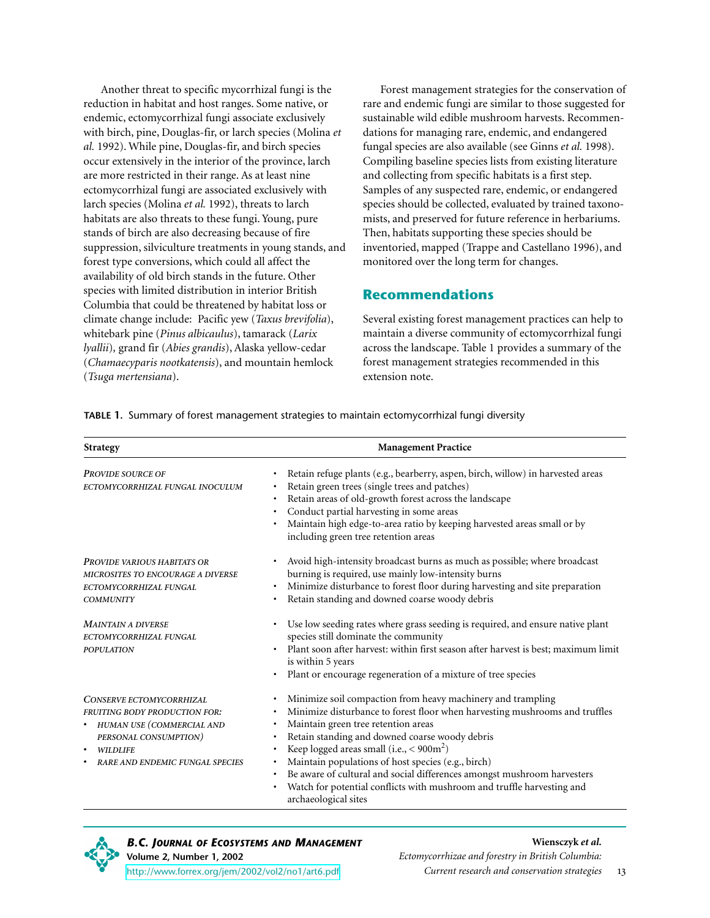Another threat to specific mycorrhizal fungi is the reduction in habitat and host ranges. Some native, or endemic, ectomycorrhizal fungi associate exclusively with birch, pine, Douglas-fir, or larch species (Molina *et al.* 1992). While pine, Douglas-fir, and birch species occur extensively in the interior of the province, larch are more restricted in their range. As at least nine ectomycorrhizal fungi are associated exclusively with larch species (Molina *et al.* 1992), threats to larch habitats are also threats to these fungi. Young, pure stands of birch are also decreasing because of fire suppression, silviculture treatments in young stands, and forest type conversions, which could all affect the availability of old birch stands in the future. Other species with limited distribution in interior British Columbia that could be threatened by habitat loss or climate change include: Pacific yew (*Taxus brevifolia*), whitebark pine (*Pinus albicaulus*), tamarack (*Larix lyallii*)*,* grand fir (*Abies grandis*), Alaska yellow-cedar (*Chamaecyparis nootkatensis*), and mountain hemlock (*Tsuga mertensiana*).

Forest management strategies for the conservation of rare and endemic fungi are similar to those suggested for sustainable wild edible mushroom harvests. Recommendations for managing rare, endemic, and endangered fungal species are also available (see Ginns *et al.* 1998). Compiling baseline species lists from existing literature and collecting from specific habitats is a first step. Samples of any suspected rare, endemic, or endangered species should be collected, evaluated by trained taxonomists, and preserved for future reference in herbariums. Then, habitats supporting these species should be inventoried, mapped (Trappe and Castellano 1996), and monitored over the long term for changes.

#### **Recommendations**

Several existing forest management practices can help to maintain a diverse community of ectomycorrhizal fungi across the landscape. Table 1 provides a summary of the forest management strategies recommended in this extension note.

| <b>Strategy</b>                                                                                                                                                                              | <b>Management Practice</b>                                                                                                                                                                                                                                                                                                                                                                                                                                                                                                                                                                               |
|----------------------------------------------------------------------------------------------------------------------------------------------------------------------------------------------|----------------------------------------------------------------------------------------------------------------------------------------------------------------------------------------------------------------------------------------------------------------------------------------------------------------------------------------------------------------------------------------------------------------------------------------------------------------------------------------------------------------------------------------------------------------------------------------------------------|
| <b>PROVIDE SOURCE OF</b><br>ECTOMYCORRHIZAL FUNGAL INOCULUM                                                                                                                                  | Retain refuge plants (e.g., bearberry, aspen, birch, willow) in harvested areas<br>Retain green trees (single trees and patches)<br>Retain areas of old-growth forest across the landscape<br>Conduct partial harvesting in some areas<br>$\bullet$<br>Maintain high edge-to-area ratio by keeping harvested areas small or by<br>including green tree retention areas                                                                                                                                                                                                                                   |
| <b>PROVIDE VARIOUS HABITATS OR</b><br><b>MICROSITES TO ENCOURAGE A DIVERSE</b><br>ECTOMYCORRHIZAL FUNGAL<br><b>COMMUNITY</b>                                                                 | Avoid high-intensity broadcast burns as much as possible; where broadcast<br>$\bullet$<br>burning is required, use mainly low-intensity burns<br>Minimize disturbance to forest floor during harvesting and site preparation<br>$\bullet$<br>Retain standing and downed coarse woody debris                                                                                                                                                                                                                                                                                                              |
| <b>MAINTAIN A DIVERSE</b><br>ECTOMYCORRHIZAL FUNGAL<br><b>POPULATION</b>                                                                                                                     | Use low seeding rates where grass seeding is required, and ensure native plant<br>species still dominate the community<br>Plant soon after harvest: within first season after harvest is best; maximum limit<br>is within 5 years<br>Plant or encourage regeneration of a mixture of tree species                                                                                                                                                                                                                                                                                                        |
| <b>CONSERVE ECTOMYCORRHIZAL</b><br><b>FRUITING BODY PRODUCTION FOR:</b><br>• HUMAN USE (COMMERCIAL AND<br>PERSONAL CONSUMPTION)<br><b>WILDLIFE</b><br><b>RARE AND ENDEMIC FUNGAL SPECIES</b> | Minimize soil compaction from heavy machinery and trampling<br>٠<br>Minimize disturbance to forest floor when harvesting mushrooms and truffles<br>٠<br>Maintain green tree retention areas<br>٠<br>Retain standing and downed coarse woody debris<br>$\bullet$<br>Keep logged areas small (i.e., $<$ 900m <sup>2</sup> )<br>$\bullet$<br>Maintain populations of host species (e.g., birch)<br>٠<br>Be aware of cultural and social differences amongst mushroom harvesters<br>$\bullet$<br>Watch for potential conflicts with mushroom and truffle harvesting and<br>$\bullet$<br>archaeological sites |

**TABLE 1.** Summary of forest management strategies to maintain ectomycorrhizal fungi diversity



*B.C. JOURNAL OF ECOSYSTEMS AND MANAGEMENT* **Volume 2, Number 1, 2002**

<http://www.forrex.org/jem/2002/vol2/no1/art6.pdf>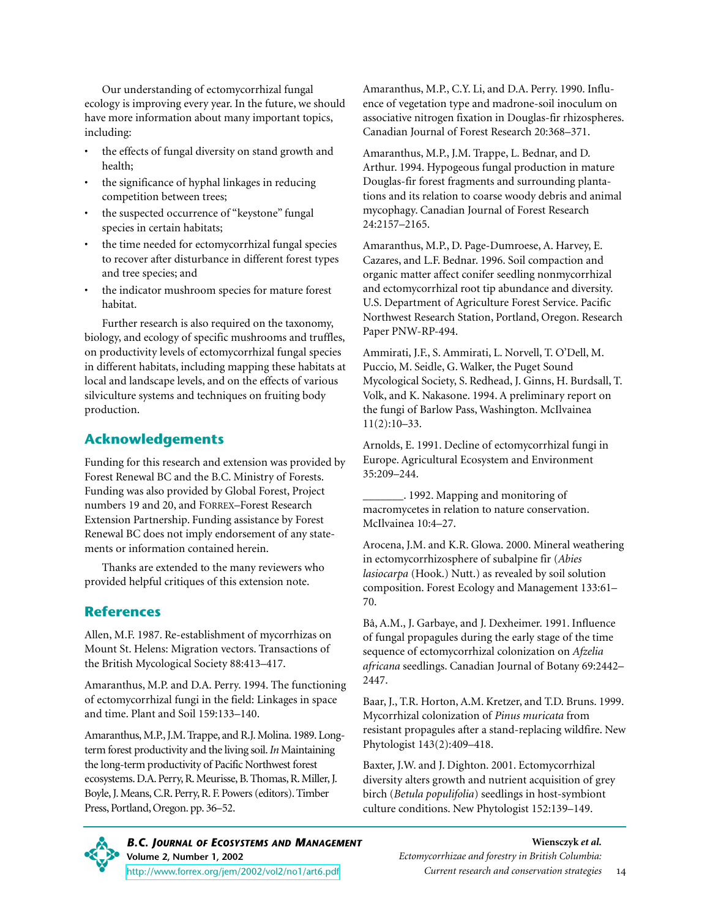Our understanding of ectomycorrhizal fungal ecology is improving every year. In the future, we should have more information about many important topics, including:

- the effects of fungal diversity on stand growth and health;
- the significance of hyphal linkages in reducing competition between trees;
- the suspected occurrence of "keystone" fungal species in certain habitats;
- the time needed for ectomycorrhizal fungal species to recover after disturbance in different forest types and tree species; and
- the indicator mushroom species for mature forest habitat.

Further research is also required on the taxonomy, biology, and ecology of specific mushrooms and truffles, on productivity levels of ectomycorrhizal fungal species in different habitats, including mapping these habitats at local and landscape levels, and on the effects of various silviculture systems and techniques on fruiting body production.

#### **Acknowledgements**

Funding for this research and extension was provided by Forest Renewal BC and the B.C. Ministry of Forests. Funding was also provided by Global Forest, Project numbers 19 and 20, and FORREX–Forest Research Extension Partnership. Funding assistance by Forest Renewal BC does not imply endorsement of any statements or information contained herein.

Thanks are extended to the many reviewers who provided helpful critiques of this extension note.

#### **References**

Allen, M.F. 1987. Re-establishment of mycorrhizas on Mount St. Helens: Migration vectors. Transactions of the British Mycological Society 88:413–417.

Amaranthus, M.P. and D.A. Perry. 1994. The functioning of ectomycorrhizal fungi in the field: Linkages in space and time. Plant and Soil 159:133–140.

Amaranthus, M.P., J.M. Trappe, and R.J. Molina. 1989. Longterm forest productivity and the living soil. *In* Maintaining the long-term productivity of Pacific Northwest forest ecosystems. D.A. Perry, R. Meurisse, B. Thomas, R. Miller, J. Boyle, J. Means, C.R. Perry, R. F. Powers (editors). Timber Press, Portland, Oregon. pp. 36–52.

Amaranthus, M.P., C.Y. Li, and D.A. Perry. 1990. Influence of vegetation type and madrone-soil inoculum on associative nitrogen fixation in Douglas-fir rhizospheres. Canadian Journal of Forest Research 20:368–371.

Amaranthus, M.P., J.M. Trappe, L. Bednar, and D. Arthur. 1994. Hypogeous fungal production in mature Douglas-fir forest fragments and surrounding plantations and its relation to coarse woody debris and animal mycophagy. Canadian Journal of Forest Research 24:2157–2165.

Amaranthus, M.P., D. Page-Dumroese, A. Harvey, E. Cazares, and L.F. Bednar. 1996. Soil compaction and organic matter affect conifer seedling nonmycorrhizal and ectomycorrhizal root tip abundance and diversity. U.S. Department of Agriculture Forest Service. Pacific Northwest Research Station, Portland, Oregon. Research Paper PNW-RP-494.

Ammirati, J.F., S. Ammirati, L. Norvell, T. O'Dell, M. Puccio, M. Seidle, G. Walker, the Puget Sound Mycological Society, S. Redhead, J. Ginns, H. Burdsall, T. Volk, and K. Nakasone. 1994. A preliminary report on the fungi of Barlow Pass, Washington. McIlvainea 11(2):10–33.

Arnolds, E. 1991. Decline of ectomycorrhizal fungi in Europe. Agricultural Ecosystem and Environment 35:209–244.

\_\_\_\_\_\_\_. 1992. Mapping and monitoring of macromycetes in relation to nature conservation. McIlvainea 10:4–27.

Arocena, J.M. and K.R. Glowa. 2000. Mineral weathering in ectomycorrhizosphere of subalpine fir (*Abies lasiocarpa* (Hook.) Nutt.) as revealed by soil solution composition. Forest Ecology and Management 133:61– 70.

Bâ, A.M., J. Garbaye, and J. Dexheimer. 1991. Influence of fungal propagules during the early stage of the time sequence of ectomycorrhizal colonization on *Afzelia africana* seedlings. Canadian Journal of Botany 69:2442– 2447.

Baar, J., T.R. Horton, A.M. Kretzer, and T.D. Bruns. 1999. Mycorrhizal colonization of *Pinus muricata* from resistant propagules after a stand-replacing wildfire. New Phytologist 143(2):409–418.

Baxter, J.W. and J. Dighton. 2001. Ectomycorrhizal diversity alters growth and nutrient acquisition of grey birch (*Betula populifolia*) seedlings in host-symbiont culture conditions. New Phytologist 152:139–149.

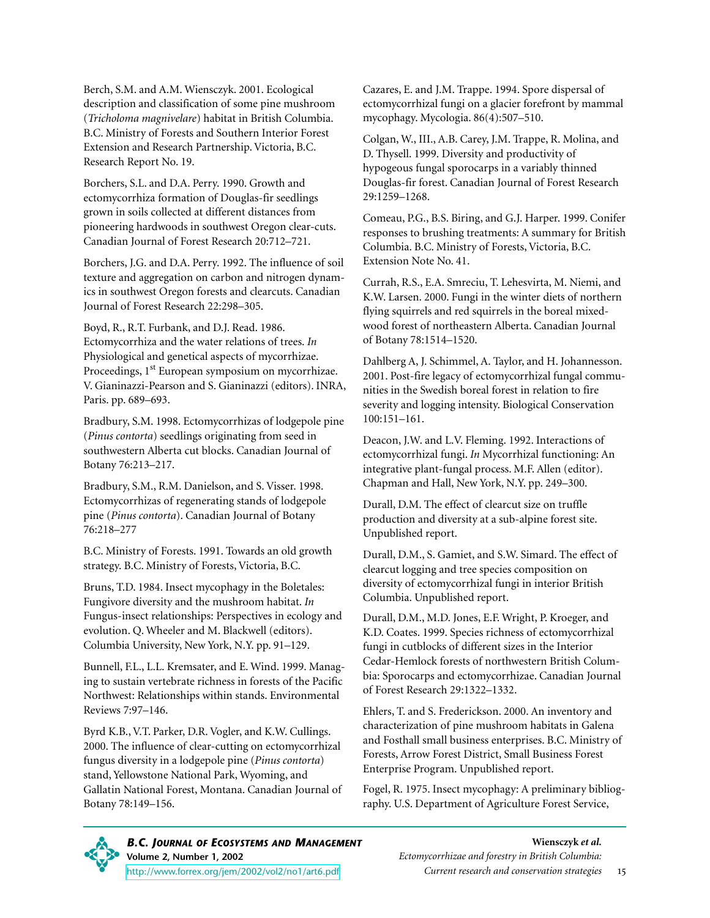Berch, S.M. and A.M. Wiensczyk. 2001. Ecological description and classification of some pine mushroom (*Tricholoma magnivelare*) habitat in British Columbia. B.C. Ministry of Forests and Southern Interior Forest Extension and Research Partnership. Victoria, B.C. Research Report No. 19.

Borchers, S.L. and D.A. Perry. 1990. Growth and ectomycorrhiza formation of Douglas-fir seedlings grown in soils collected at different distances from pioneering hardwoods in southwest Oregon clear-cuts. Canadian Journal of Forest Research 20:712–721.

Borchers, J.G. and D.A. Perry. 1992. The influence of soil texture and aggregation on carbon and nitrogen dynamics in southwest Oregon forests and clearcuts. Canadian Journal of Forest Research 22:298–305.

Boyd, R., R.T. Furbank, and D.J. Read. 1986. Ectomycorrhiza and the water relations of trees. *In* Physiological and genetical aspects of mycorrhizae. Proceedings, 1st European symposium on mycorrhizae. V. Gianinazzi-Pearson and S. Gianinazzi (editors). INRA, Paris. pp. 689–693.

Bradbury, S.M. 1998. Ectomycorrhizas of lodgepole pine (*Pinus contorta*) seedlings originating from seed in southwestern Alberta cut blocks. Canadian Journal of Botany 76:213–217.

Bradbury, S.M., R.M. Danielson, and S. Visser. 1998. Ectomycorrhizas of regenerating stands of lodgepole pine (*Pinus contorta*). Canadian Journal of Botany 76:218–277

B.C. Ministry of Forests. 1991. Towards an old growth strategy. B.C. Ministry of Forests, Victoria, B.C.

Bruns, T.D. 1984. Insect mycophagy in the Boletales: Fungivore diversity and the mushroom habitat. *In* Fungus-insect relationships: Perspectives in ecology and evolution. Q. Wheeler and M. Blackwell (editors). Columbia University, New York, N.Y. pp. 91–129.

Bunnell, F.L., L.L. Kremsater, and E. Wind. 1999. Managing to sustain vertebrate richness in forests of the Pacific Northwest: Relationships within stands. Environmental Reviews 7:97–146.

Byrd K.B., V.T. Parker, D.R. Vogler, and K.W. Cullings. 2000. The influence of clear-cutting on ectomycorrhizal fungus diversity in a lodgepole pine (*Pinus contorta*) stand, Yellowstone National Park, Wyoming, and Gallatin National Forest, Montana. Canadian Journal of Botany 78:149–156.

Cazares, E. and J.M. Trappe. 1994. Spore dispersal of ectomycorrhizal fungi on a glacier forefront by mammal mycophagy. Mycologia. 86(4):507–510.

Colgan, W., III., A.B. Carey, J.M. Trappe, R. Molina, and D. Thysell. 1999. Diversity and productivity of hypogeous fungal sporocarps in a variably thinned Douglas-fir forest. Canadian Journal of Forest Research 29:1259–1268.

Comeau, P.G., B.S. Biring, and G.J. Harper. 1999. Conifer responses to brushing treatments: A summary for British Columbia. B.C. Ministry of Forests, Victoria, B.C. Extension Note No. 41.

Currah, R.S., E.A. Smreciu, T. Lehesvirta, M. Niemi, and K.W. Larsen. 2000. Fungi in the winter diets of northern flying squirrels and red squirrels in the boreal mixedwood forest of northeastern Alberta. Canadian Journal of Botany 78:1514–1520.

Dahlberg A, J. Schimmel, A. Taylor, and H. Johannesson. 2001. Post-fire legacy of ectomycorrhizal fungal communities in the Swedish boreal forest in relation to fire severity and logging intensity. Biological Conservation 100:151–161.

Deacon, J.W. and L.V. Fleming. 1992. Interactions of ectomycorrhizal fungi. *In* Mycorrhizal functioning: An integrative plant-fungal process. M.F. Allen (editor). Chapman and Hall, New York, N.Y. pp. 249–300.

Durall, D.M. The effect of clearcut size on truffle production and diversity at a sub-alpine forest site. Unpublished report.

Durall, D.M., S. Gamiet, and S.W. Simard. The effect of clearcut logging and tree species composition on diversity of ectomycorrhizal fungi in interior British Columbia. Unpublished report.

Durall, D.M., M.D. Jones, E.F. Wright, P. Kroeger, and K.D. Coates. 1999. Species richness of ectomycorrhizal fungi in cutblocks of different sizes in the Interior Cedar-Hemlock forests of northwestern British Columbia: Sporocarps and ectomycorrhizae. Canadian Journal of Forest Research 29:1322–1332.

Ehlers, T. and S. Frederickson. 2000. An inventory and characterization of pine mushroom habitats in Galena and Fosthall small business enterprises. B.C. Ministry of Forests, Arrow Forest District, Small Business Forest Enterprise Program. Unpublished report.

Fogel, R. 1975. Insect mycophagy: A preliminary bibliography. U.S. Department of Agriculture Forest Service,

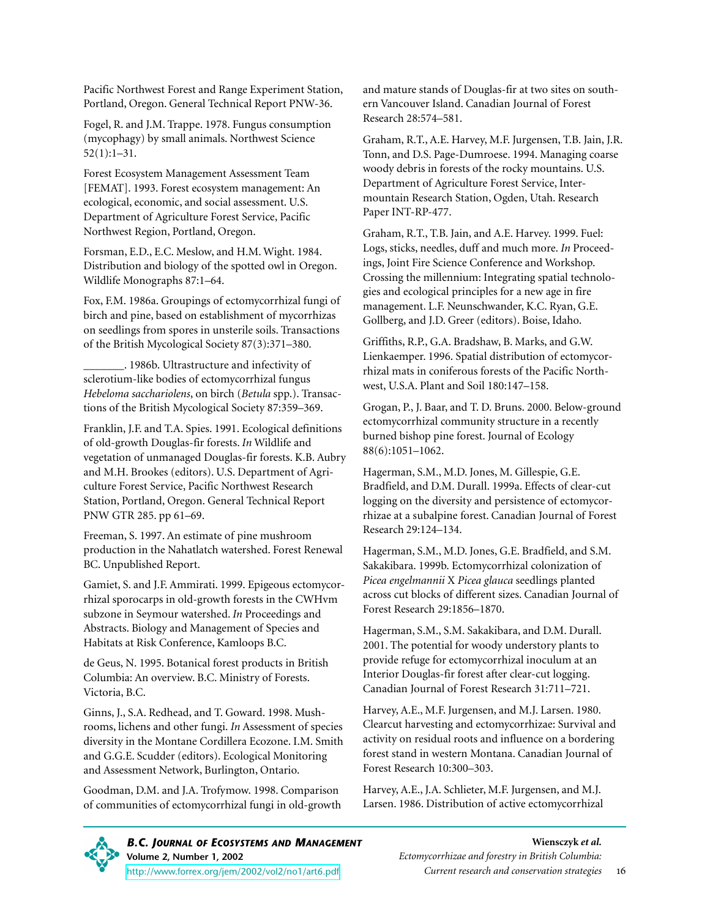Pacific Northwest Forest and Range Experiment Station, Portland, Oregon. General Technical Report PNW-36.

Fogel, R. and J.M. Trappe. 1978. Fungus consumption (mycophagy) by small animals. Northwest Science 52(1):1–31.

Forest Ecosystem Management Assessment Team [FEMAT]. 1993. Forest ecosystem management: An ecological, economic, and social assessment. U.S. Department of Agriculture Forest Service, Pacific Northwest Region, Portland, Oregon.

Forsman, E.D., E.C. Meslow, and H.M. Wight. 1984. Distribution and biology of the spotted owl in Oregon. Wildlife Monographs 87:1–64.

Fox, F.M. 1986a. Groupings of ectomycorrhizal fungi of birch and pine, based on establishment of mycorrhizas on seedlings from spores in unsterile soils. Transactions of the British Mycological Society 87(3):371–380.

\_\_\_\_\_\_\_. 1986b. Ultrastructure and infectivity of sclerotium-like bodies of ectomycorrhizal fungus *Hebeloma sacchariolens*, on birch (*Betula* spp.). Transactions of the British Mycological Society 87:359–369.

Franklin, J.F. and T.A. Spies. 1991. Ecological definitions of old-growth Douglas-fir forests. *In* Wildlife and vegetation of unmanaged Douglas-fir forests. K.B. Aubry and M.H. Brookes (editors). U.S. Department of Agriculture Forest Service, Pacific Northwest Research Station, Portland, Oregon. General Technical Report PNW GTR 285. pp 61–69.

Freeman, S. 1997. An estimate of pine mushroom production in the Nahatlatch watershed. Forest Renewal BC. Unpublished Report.

Gamiet, S. and J.F. Ammirati. 1999. Epigeous ectomycorrhizal sporocarps in old-growth forests in the CWHvm subzone in Seymour watershed. *In* Proceedings and Abstracts. Biology and Management of Species and Habitats at Risk Conference, Kamloops B.C.

de Geus, N. 1995. Botanical forest products in British Columbia: An overview. B.C. Ministry of Forests. Victoria, B.C.

Ginns, J., S.A. Redhead, and T. Goward. 1998. Mushrooms, lichens and other fungi. *In* Assessment of species diversity in the Montane Cordillera Ecozone. I.M. Smith and G.G.E. Scudder (editors). Ecological Monitoring and Assessment Network, Burlington, Ontario.

Goodman, D.M. and J.A. Trofymow. 1998. Comparison of communities of ectomycorrhizal fungi in old-growth and mature stands of Douglas-fir at two sites on southern Vancouver Island. Canadian Journal of Forest Research 28:574–581.

Graham, R.T., A.E. Harvey, M.F. Jurgensen, T.B. Jain, J.R. Tonn, and D.S. Page-Dumroese. 1994. Managing coarse woody debris in forests of the rocky mountains. U.S. Department of Agriculture Forest Service, Intermountain Research Station, Ogden, Utah. Research Paper INT-RP-477.

Graham, R.T., T.B. Jain, and A.E. Harvey. 1999. Fuel: Logs, sticks, needles, duff and much more. *In* Proceedings, Joint Fire Science Conference and Workshop. Crossing the millennium: Integrating spatial technologies and ecological principles for a new age in fire management. L.F. Neunschwander, K.C. Ryan, G.E. Gollberg, and J.D. Greer (editors). Boise, Idaho.

Griffiths, R.P., G.A. Bradshaw, B. Marks, and G.W. Lienkaemper. 1996. Spatial distribution of ectomycorrhizal mats in coniferous forests of the Pacific Northwest, U.S.A. Plant and Soil 180:147–158.

Grogan, P., J. Baar, and T. D. Bruns. 2000. Below-ground ectomycorrhizal community structure in a recently burned bishop pine forest. Journal of Ecology 88(6):1051–1062.

Hagerman, S.M., M.D. Jones, M. Gillespie, G.E. Bradfield, and D.M. Durall. 1999a. Effects of clear-cut logging on the diversity and persistence of ectomycorrhizae at a subalpine forest. Canadian Journal of Forest Research 29:124–134.

Hagerman, S.M., M.D. Jones, G.E. Bradfield, and S.M. Sakakibara. 1999b. Ectomycorrhizal colonization of *Picea engelmannii* X *Picea glauca* seedlings planted across cut blocks of different sizes. Canadian Journal of Forest Research 29:1856–1870.

Hagerman, S.M., S.M. Sakakibara, and D.M. Durall. 2001. The potential for woody understory plants to provide refuge for ectomycorrhizal inoculum at an Interior Douglas-fir forest after clear-cut logging. Canadian Journal of Forest Research 31:711–721.

Harvey, A.E., M.F. Jurgensen, and M.J. Larsen. 1980. Clearcut harvesting and ectomycorrhizae: Survival and activity on residual roots and influence on a bordering forest stand in western Montana. Canadian Journal of Forest Research 10:300–303.

Harvey, A.E., J.A. Schlieter, M.F. Jurgensen, and M.J. Larsen. 1986. Distribution of active ectomycorrhizal

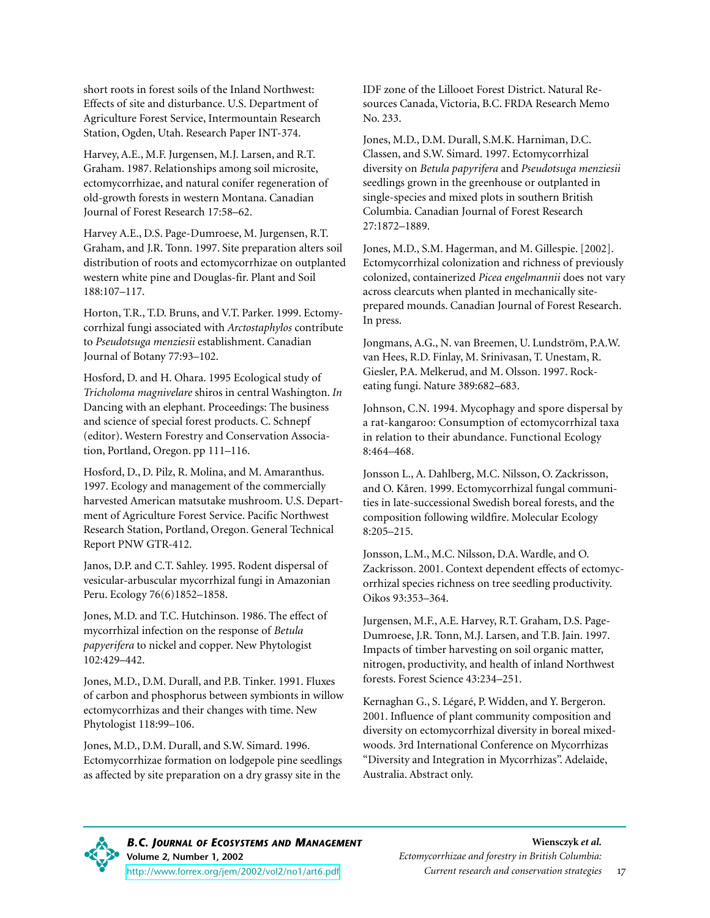short roots in forest soils of the Inland Northwest: Effects of site and disturbance. U.S. Department of Agriculture Forest Service, Intermountain Research Station, Ogden, Utah. Research Paper INT-374.

Harvey, A.E., M.F. Jurgensen, M.J. Larsen, and R.T. Graham. 1987. Relationships among soil microsite, ectomycorrhizae, and natural conifer regeneration of old-growth forests in western Montana. Canadian Journal of Forest Research 17:58–62.

Harvey A.E., D.S. Page-Dumroese, M. Jurgensen, R.T. Graham, and J.R. Tonn. 1997. Site preparation alters soil distribution of roots and ectomycorrhizae on outplanted western white pine and Douglas-fir. Plant and Soil 188:107–117.

Horton, T.R., T.D. Bruns, and V.T. Parker. 1999. Ectomycorrhizal fungi associated with *Arctostaphylos* contribute to *Pseudotsuga menziesii* establishment. Canadian Journal of Botany 77:93–102.

Hosford, D. and H. Ohara. 1995 Ecological study of *Tricholoma magnivelare* shiros in central Washington. *In* Dancing with an elephant. Proceedings: The business and science of special forest products. C. Schnepf (editor). Western Forestry and Conservation Association, Portland, Oregon. pp 111–116.

Hosford, D., D. Pilz, R. Molina, and M. Amaranthus. 1997. Ecology and management of the commercially harvested American matsutake mushroom. U.S. Department of Agriculture Forest Service. Pacific Northwest Research Station, Portland, Oregon. General Technical Report PNW GTR-412.

Janos, D.P. and C.T. Sahley. 1995. Rodent dispersal of vesicular-arbuscular mycorrhizal fungi in Amazonian Peru. Ecology 76(6)1852–1858.

Jones, M.D. and T.C. Hutchinson. 1986. The effect of mycorrhizal infection on the response of *Betula papyerifera* to nickel and copper. New Phytologist 102:429–442.

Jones, M.D., D.M. Durall, and P.B. Tinker. 1991. Fluxes of carbon and phosphorus between symbionts in willow ectomycorrhizas and their changes with time. New Phytologist 118:99–106.

Jones, M.D., D.M. Durall, and S.W. Simard. 1996. Ectomycorrhizae formation on lodgepole pine seedlings as affected by site preparation on a dry grassy site in the

IDF zone of the Lillooet Forest District. Natural Resources Canada, Victoria, B.C. FRDA Research Memo No. 233.

Jones, M.D., D.M. Durall, S.M.K. Harniman, D.C. Classen, and S.W. Simard. 1997. Ectomycorrhizal diversity on *Betula papyrifera* and *Pseudotsuga menziesii* seedlings grown in the greenhouse or outplanted in single-species and mixed plots in southern British Columbia. Canadian Journal of Forest Research 27:1872–1889.

Jones, M.D., S.M. Hagerman, and M. Gillespie. [2002]. Ectomycorrhizal colonization and richness of previously colonized, containerized *Picea engelmannii* does not vary across clearcuts when planted in mechanically siteprepared mounds. Canadian Journal of Forest Research. In press.

Jongmans, A.G., N. van Breemen, U. Lundström, P.A.W. van Hees, R.D. Finlay, M. Srinivasan, T. Unestam, R. Giesler, P.A. Melkerud, and M. Olsson. 1997. Rockeating fungi. Nature 389:682–683.

Johnson, C.N. 1994. Mycophagy and spore dispersal by a rat-kangaroo: Consumption of ectomycorrhizal taxa in relation to their abundance. Functional Ecology 8:464–468.

Jonsson L., A. Dahlberg, M.C. Nilsson, O. Zackrisson, and O. Kåren. 1999. Ectomycorrhizal fungal communities in late-successional Swedish boreal forests, and the composition following wildfire. Molecular Ecology 8:205–215.

Jonsson, L.M., M.C. Nilsson, D.A. Wardle, and O. Zackrisson. 2001. Context dependent effects of ectomycorrhizal species richness on tree seedling productivity. Oikos 93:353–364.

Jurgensen, M.F., A.E. Harvey, R.T. Graham, D.S. Page-Dumroese, J.R. Tonn, M.J. Larsen, and T.B. Jain. 1997. Impacts of timber harvesting on soil organic matter, nitrogen, productivity, and health of inland Northwest forests. Forest Science 43:234–251.

Kernaghan G., S. Légaré, P. Widden, and Y. Bergeron. 2001. Influence of plant community composition and diversity on ectomycorrhizal diversity in boreal mixedwoods. 3rd International Conference on Mycorrhizas "Diversity and Integration in Mycorrhizas". Adelaide, Australia. Abstract only.

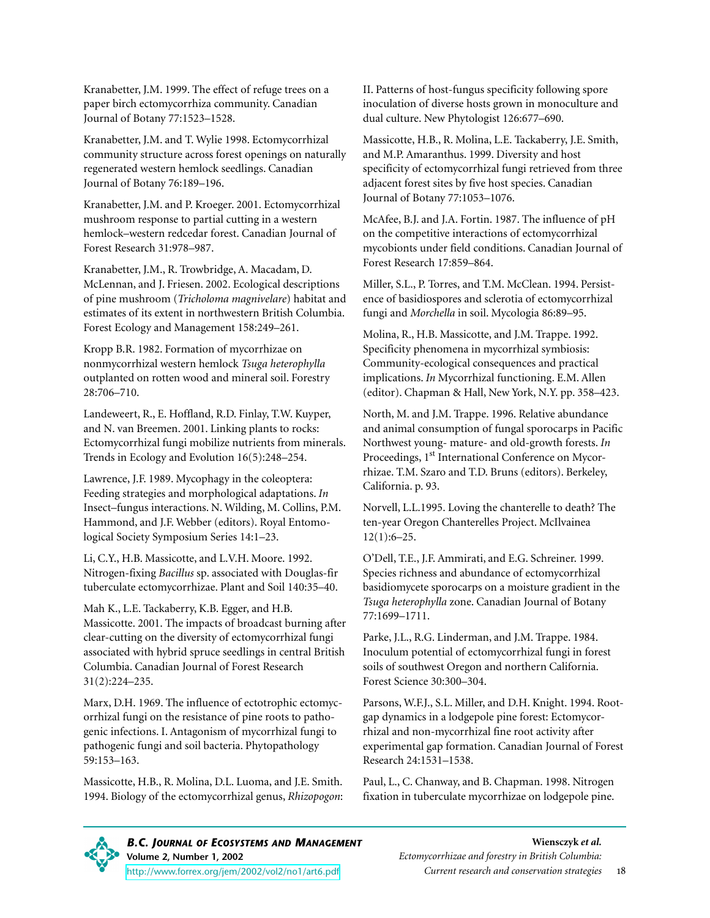Kranabetter, J.M. 1999. The effect of refuge trees on a paper birch ectomycorrhiza community. Canadian Journal of Botany 77:1523–1528.

Kranabetter, J.M. and T. Wylie 1998. Ectomycorrhizal community structure across forest openings on naturally regenerated western hemlock seedlings. Canadian Journal of Botany 76:189–196.

Kranabetter, J.M. and P. Kroeger. 2001. Ectomycorrhizal mushroom response to partial cutting in a western hemlock–western redcedar forest. Canadian Journal of Forest Research 31:978–987.

Kranabetter, J.M., R. Trowbridge, A. Macadam, D. McLennan, and J. Friesen. 2002. Ecological descriptions of pine mushroom (*Tricholoma magnivelare*) habitat and estimates of its extent in northwestern British Columbia. Forest Ecology and Management 158:249–261.

Kropp B.R. 1982. Formation of mycorrhizae on nonmycorrhizal western hemlock *Tsuga heterophylla* outplanted on rotten wood and mineral soil. Forestry 28:706–710.

Landeweert, R., E. Hoffland, R.D. Finlay, T.W. Kuyper, and N. van Breemen. 2001. Linking plants to rocks: Ectomycorrhizal fungi mobilize nutrients from minerals. Trends in Ecology and Evolution 16(5):248–254.

Lawrence, J.F. 1989. Mycophagy in the coleoptera: Feeding strategies and morphological adaptations. *In* Insect–fungus interactions. N. Wilding, M. Collins, P.M. Hammond, and J.F. Webber (editors). Royal Entomological Society Symposium Series 14:1–23.

Li, C.Y., H.B. Massicotte, and L.V.H. Moore. 1992. Nitrogen-fixing *Bacillus* sp. associated with Douglas-fir tuberculate ectomycorrhizae. Plant and Soil 140:35–40.

Mah K., L.E. Tackaberry, K.B. Egger, and H.B. Massicotte. 2001. The impacts of broadcast burning after clear-cutting on the diversity of ectomycorrhizal fungi associated with hybrid spruce seedlings in central British Columbia. Canadian Journal of Forest Research 31(2):224–235.

Marx, D.H. 1969. The influence of ectotrophic ectomycorrhizal fungi on the resistance of pine roots to pathogenic infections. I. Antagonism of mycorrhizal fungi to pathogenic fungi and soil bacteria. Phytopathology 59:153–163.

Massicotte, H.B., R. Molina, D.L. Luoma, and J.E. Smith. 1994. Biology of the ectomycorrhizal genus, *Rhizopogon*: II. Patterns of host-fungus specificity following spore inoculation of diverse hosts grown in monoculture and dual culture. New Phytologist 126:677–690.

Massicotte, H.B., R. Molina, L.E. Tackaberry, J.E. Smith, and M.P. Amaranthus. 1999. Diversity and host specificity of ectomycorrhizal fungi retrieved from three adjacent forest sites by five host species. Canadian Journal of Botany 77:1053–1076.

McAfee, B.J. and J.A. Fortin. 1987. The influence of pH on the competitive interactions of ectomycorrhizal mycobionts under field conditions. Canadian Journal of Forest Research 17:859–864.

Miller, S.L., P. Torres, and T.M. McClean. 1994. Persistence of basidiospores and sclerotia of ectomycorrhizal fungi and *Morchella* in soil. Mycologia 86:89–95.

Molina, R., H.B. Massicotte, and J.M. Trappe. 1992. Specificity phenomena in mycorrhizal symbiosis: Community-ecological consequences and practical implications. *In* Mycorrhizal functioning. E.M. Allen (editor). Chapman & Hall, New York, N.Y. pp. 358–423.

North, M. and J.M. Trappe. 1996. Relative abundance and animal consumption of fungal sporocarps in Pacific Northwest young- mature- and old-growth forests. *In* Proceedings, 1<sup>st</sup> International Conference on Mycorrhizae. T.M. Szaro and T.D. Bruns (editors). Berkeley, California. p. 93.

Norvell, L.L.1995. Loving the chanterelle to death? The ten-year Oregon Chanterelles Project. McIlvainea 12(1):6–25.

O'Dell, T.E., J.F. Ammirati, and E.G. Schreiner. 1999. Species richness and abundance of ectomycorrhizal basidiomycete sporocarps on a moisture gradient in the *Tsuga heterophylla* zone. Canadian Journal of Botany 77:1699–1711.

Parke, J.L., R.G. Linderman, and J.M. Trappe. 1984. Inoculum potential of ectomycorrhizal fungi in forest soils of southwest Oregon and northern California. Forest Science 30:300–304.

Parsons, W.F.J., S.L. Miller, and D.H. Knight. 1994. Rootgap dynamics in a lodgepole pine forest: Ectomycorrhizal and non-mycorrhizal fine root activity after experimental gap formation. Canadian Journal of Forest Research 24:1531–1538.

Paul, L., C. Chanway, and B. Chapman. 1998. Nitrogen fixation in tuberculate mycorrhizae on lodgepole pine.

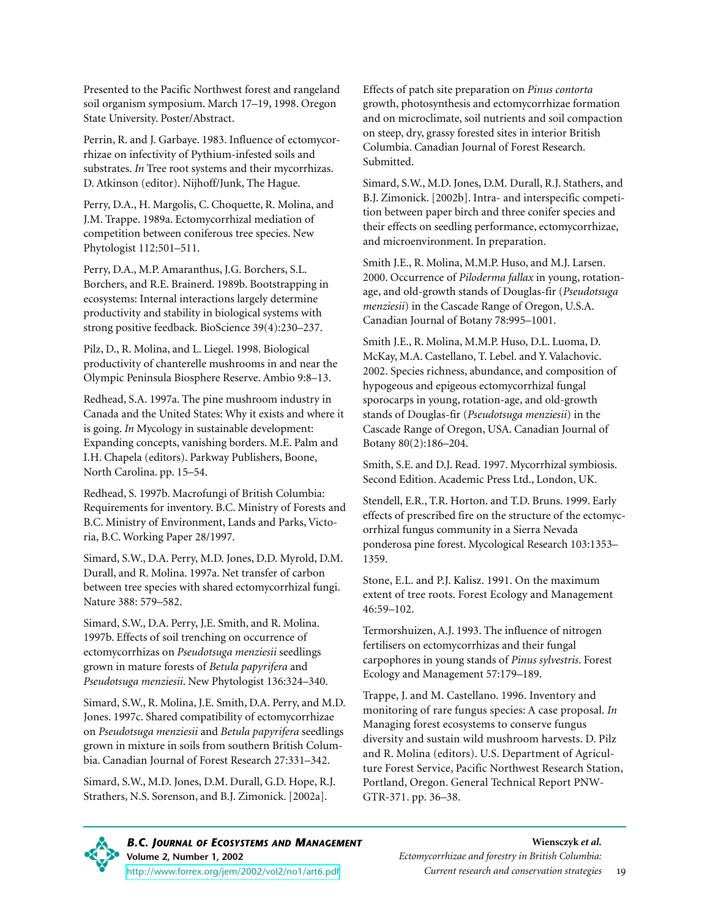Presented to the Pacific Northwest forest and rangeland soil organism symposium. March 17–19, 1998. Oregon State University. Poster/Abstract.

Perrin, R. and J. Garbaye. 1983. Influence of ectomycorrhizae on infectivity of Pythium-infested soils and substrates. *In* Tree root systems and their mycorrhizas. D. Atkinson (editor). Nijhoff/Junk, The Hague.

Perry, D.A., H. Margolis, C. Choquette, R. Molina, and J.M. Trappe. 1989a. Ectomycorrhizal mediation of competition between coniferous tree species. New Phytologist 112:501–511.

Perry, D.A., M.P. Amaranthus, J.G. Borchers, S.L. Borchers, and R.E. Brainerd. 1989b. Bootstrapping in ecosystems: Internal interactions largely determine productivity and stability in biological systems with strong positive feedback. BioScience 39(4):230–237.

Pilz, D., R. Molina, and L. Liegel. 1998. Biological productivity of chanterelle mushrooms in and near the Olympic Peninsula Biosphere Reserve. Ambio 9:8–13.

Redhead, S.A. 1997a. The pine mushroom industry in Canada and the United States: Why it exists and where it is going. *In* Mycology in sustainable development: Expanding concepts, vanishing borders. M.E. Palm and I.H. Chapela (editors). Parkway Publishers, Boone, North Carolina. pp. 15–54.

Redhead, S. 1997b. Macrofungi of British Columbia: Requirements for inventory. B.C. Ministry of Forests and B.C. Ministry of Environment, Lands and Parks, Victoria, B.C. Working Paper 28/1997.

Simard, S.W., D.A. Perry, M.D. Jones, D.D. Myrold, D.M. Durall, and R. Molina. 1997a. Net transfer of carbon between tree species with shared ectomycorrhizal fungi. Nature 388: 579–582.

Simard, S.W., D.A. Perry, J.E. Smith, and R. Molina. 1997b. Effects of soil trenching on occurrence of ectomycorrhizas on *Pseudotsuga menziesii* seedlings grown in mature forests of *Betula papyrifera* and *Pseudotsuga menziesii*. New Phytologist 136:324–340.

Simard, S.W., R. Molina, J.E. Smith, D.A. Perry, and M.D. Jones. 1997c. Shared compatibility of ectomycorrhizae on *Pseudotsuga menziesii* and *Betula papyrifera* seedlings grown in mixture in soils from southern British Columbia. Canadian Journal of Forest Research 27:331–342.

Simard, S.W., M.D. Jones, D.M. Durall, G.D. Hope, R.J. Strathers, N.S. Sorenson, and B.J. Zimonick. [2002a].

Effects of patch site preparation on *Pinus contorta* growth, photosynthesis and ectomycorrhizae formation and on microclimate, soil nutrients and soil compaction on steep, dry, grassy forested sites in interior British Columbia. Canadian Journal of Forest Research. Submitted.

Simard, S.W., M.D. Jones, D.M. Durall, R.J. Stathers, and B.J. Zimonick. [2002b]. Intra- and interspecific competition between paper birch and three conifer species and their effects on seedling performance, ectomycorrhizae, and microenvironment. In preparation.

Smith J.E., R. Molina, M.M.P. Huso, and M.J. Larsen. 2000. Occurrence of *Piloderma fallax* in young, rotationage, and old-growth stands of Douglas-fir (*Pseudotsuga menziesii*) in the Cascade Range of Oregon, U.S.A. Canadian Journal of Botany 78:995–1001.

Smith J.E., R. Molina, M.M.P. Huso, D.L. Luoma, D. McKay, M.A. Castellano, T. Lebel. and Y. Valachovic. 2002. Species richness, abundance, and composition of hypogeous and epigeous ectomycorrhizal fungal sporocarps in young, rotation-age, and old-growth stands of Douglas-fir (*Pseudotsuga menziesii*) in the Cascade Range of Oregon, USA. Canadian Journal of Botany 80(2):186–204.

Smith, S.E. and D.J. Read. 1997. Mycorrhizal symbiosis. Second Edition. Academic Press Ltd., London, UK.

Stendell, E.R., T.R. Horton. and T.D. Bruns. 1999. Early effects of prescribed fire on the structure of the ectomycorrhizal fungus community in a Sierra Nevada ponderosa pine forest. Mycological Research 103:1353– 1359.

Stone, E.L. and P.J. Kalisz. 1991. On the maximum extent of tree roots. Forest Ecology and Management 46:59–102.

Termorshuizen, A.J. 1993. The influence of nitrogen fertilisers on ectomycorrhizas and their fungal carpophores in young stands of *Pinus sylvestris*. Forest Ecology and Management 57:179–189.

Trappe, J. and M. Castellano. 1996. Inventory and monitoring of rare fungus species: A case proposal. *In* Managing forest ecosystems to conserve fungus diversity and sustain wild mushroom harvests. D. Pilz and R. Molina (editors). U.S. Department of Agriculture Forest Service, Pacific Northwest Research Station, Portland, Oregon. General Technical Report PNW-GTR-371. pp. 36–38.